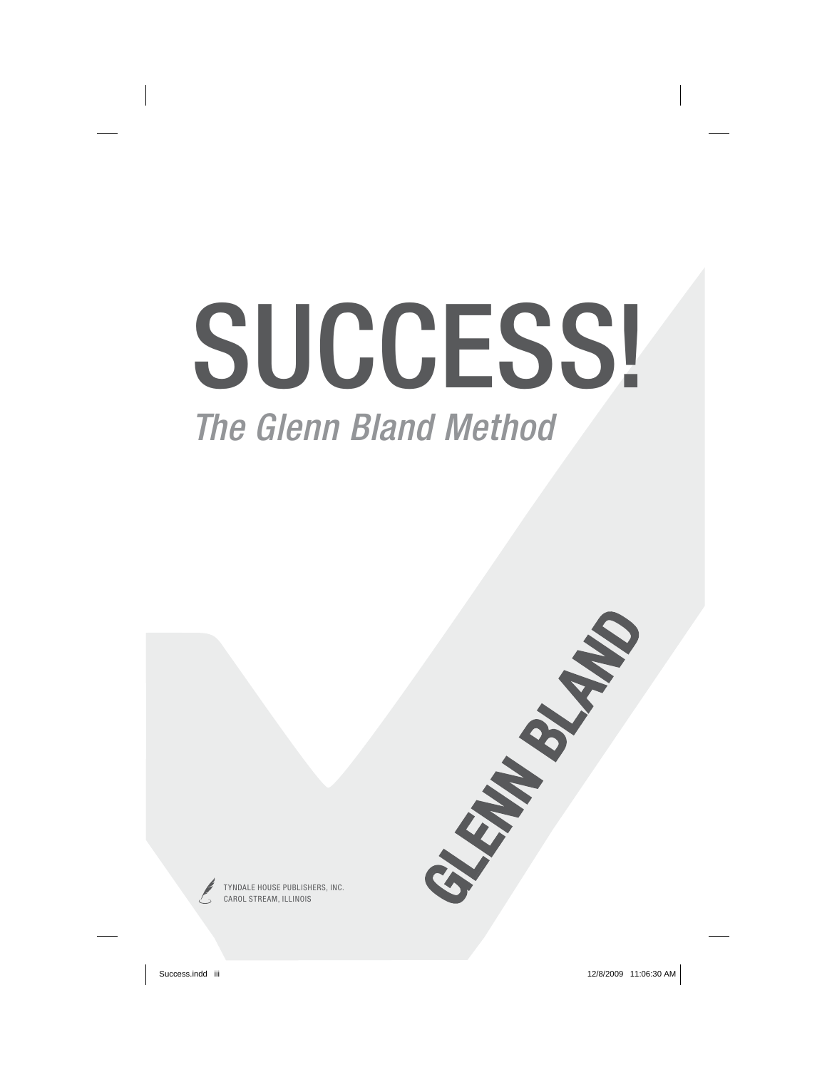# SUCCESS! *The Glenn Bland Method*



TYNDALE HOUSE PUBLISHERS, INC. CAROL STREAM, ILLINOIS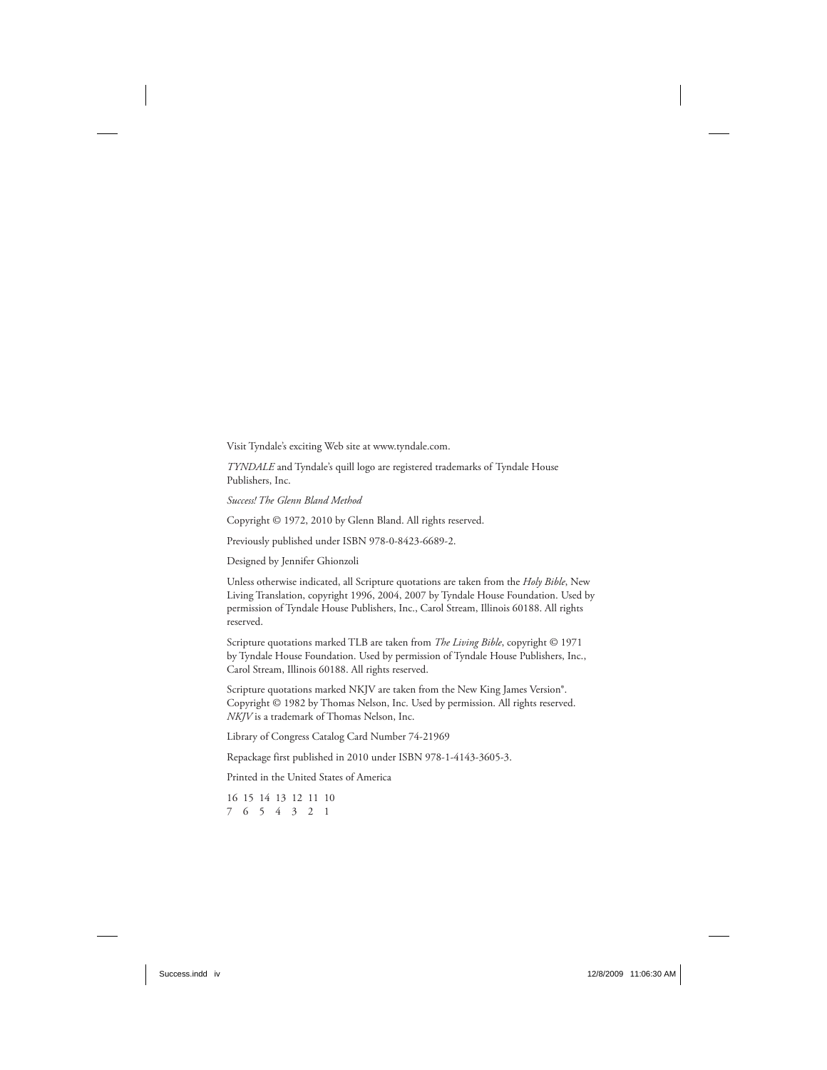Visit Tyndale's exciting Web site at www.tyndale.com.

*TYNDALE* and Tyndale's quill logo are registered trademarks of Tyndale House Publishers, Inc.

*Success! The Glenn Bland Method*

Copyright © 1972, 2010 by Glenn Bland. All rights reserved.

Previously published under ISBN 978-0-8423-6689-2.

Designed by Jennifer Ghionzoli

Unless otherwise indicated, all Scripture quotations are taken from the *Holy Bible*, New Living Translation, copyright 1996, 2004, 2007 by Tyndale House Foundation. Used by permission of Tyndale House Publishers, Inc., Carol Stream, Illinois 60188. All rights reserved.

Scripture quotations marked TLB are taken from *The Living Bible*, copyright © 1971 by Tyndale House Foundation. Used by permission of Tyndale House Publishers, Inc., Carol Stream, Illinois 60188. All rights reserved.

Scripture quotations marked NKJV are taken from the New King James Version®. Copyright © 1982 by Thomas Nelson, Inc. Used by permission. All rights reserved. *NKJV* is a trademark of Thomas Nelson, Inc.

Library of Congress Catalog Card Number 74-21969

Repackage first published in 2010 under ISBN 978-1-4143-3605-3.

Printed in the United States of America

16 15 14 13 12 11 10 7 6 5 4 3 2 1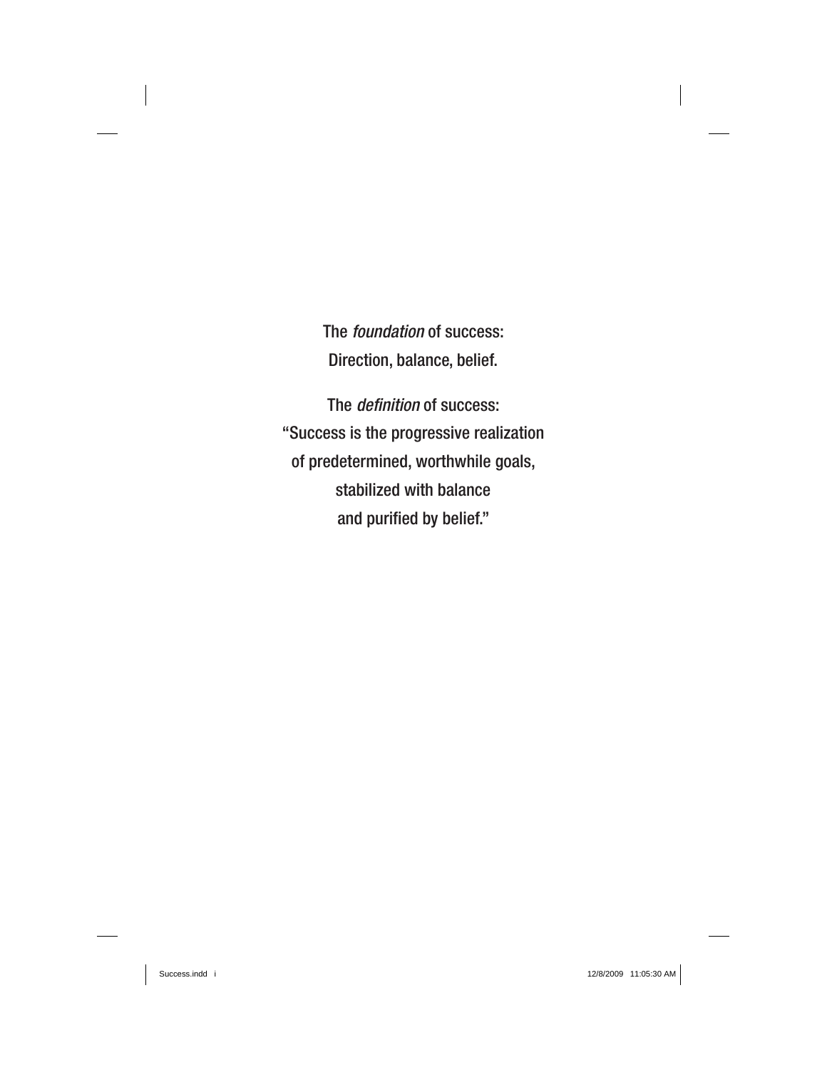The *foundation* of success: Direction, balance, belief.

The *definition* of success: "Success is the progressive realization of predetermined, worthwhile goals, stabilized with balance and purified by belief."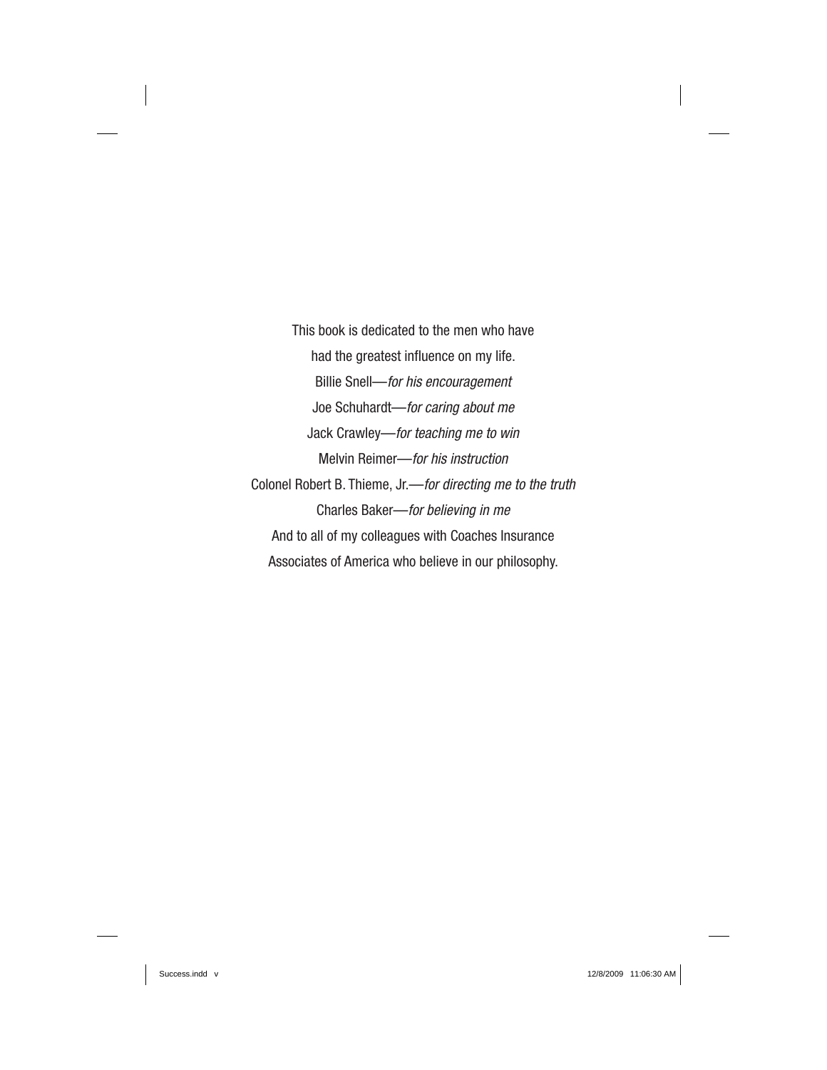This book is dedicated to the men who have had the greatest influence on my life. Billie Snell—*for his encouragement* Joe Schuhardt—*for caring about me* Jack Crawley—*for teaching me to win* Melvin Reimer—*for his instruction* Colonel Robert B. Thieme, Jr.—*for directing me to the truth* Charles Baker—*for believing in me* And to all of my colleagues with Coaches Insurance Associates of America who believe in our philosophy.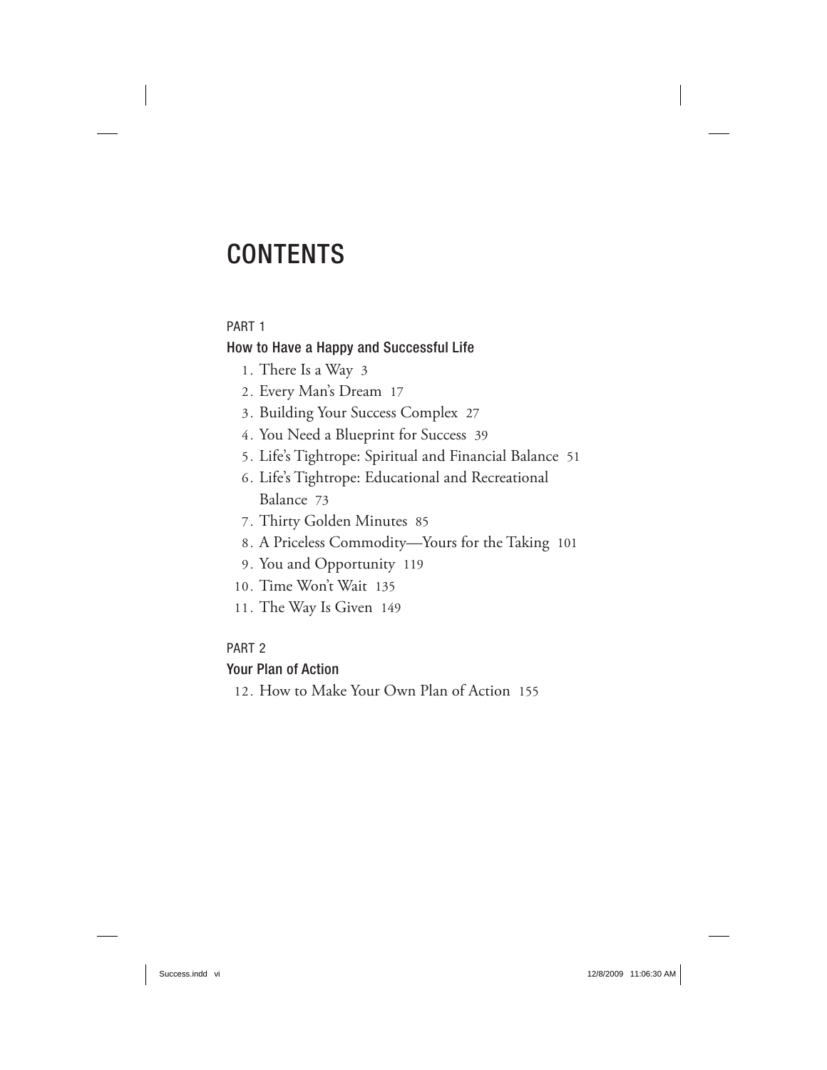# **CONTENTS**

#### PART 1

#### How to Have a Happy and Successful Life

- 1. There Is a Way 3
- 2. Every Man's Dream 17
- 3. Building Your Success Complex 27
- 4. You Need a Blueprint for Success 39
- 5. Life's Tightrope: Spiritual and Financial Balance 51
- 6. Life's Tightrope: Educational and Recreational Balance 73
- 7. Thirty Golden Minutes 85
- 8. A Priceless Commodity—Yours for the Taking 101
- 9. You and Opportunity 119
- 10. Time Won't Wait 135
- 11. The Way Is Given 149

#### PART 2

#### Your Plan of Action

12. How to Make Your Own Plan of Action 155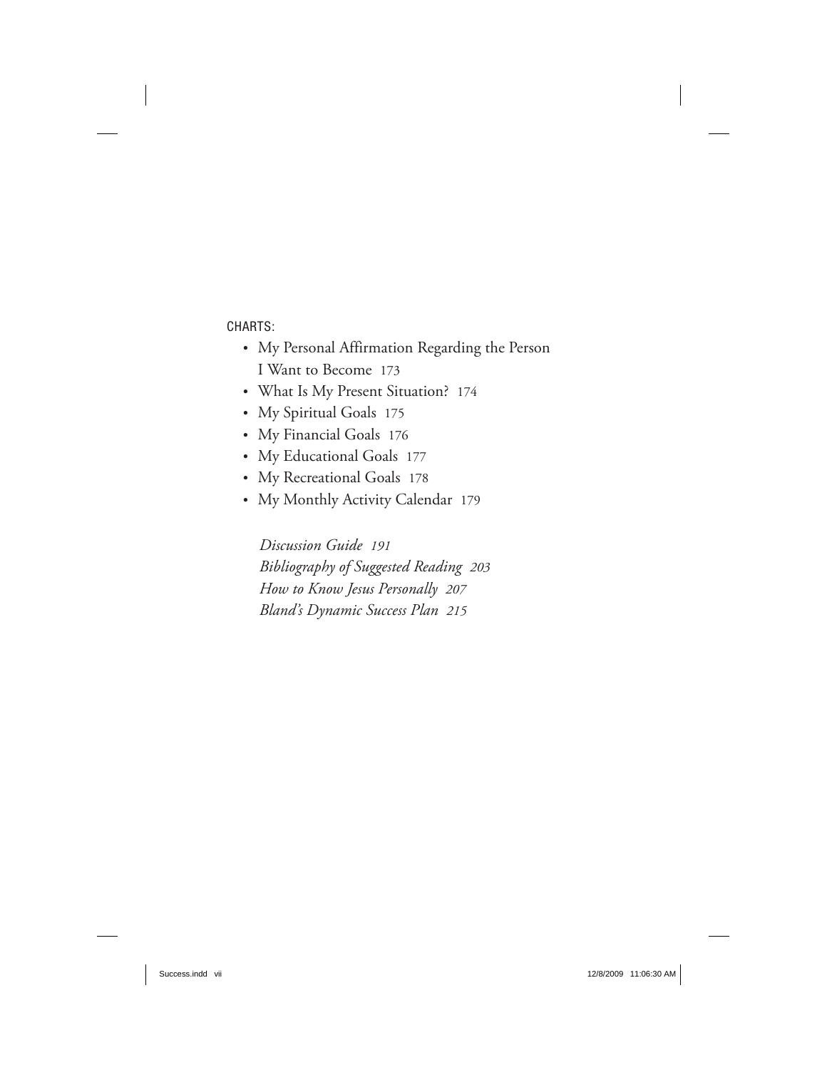CHARTS:

- My Personal Affirmation Regarding the Person I Want to Become 173
- What Is My Present Situation? 174
- My Spiritual Goals 175
- My Financial Goals 176
- My Educational Goals 177
- My Recreational Goals 178
- My Monthly Activity Calendar 179

 *Discussion Guide 191 Bibliography of Suggested Reading 203 How to Know Jesus Personally 207 Bland's Dynamic Success Plan 215*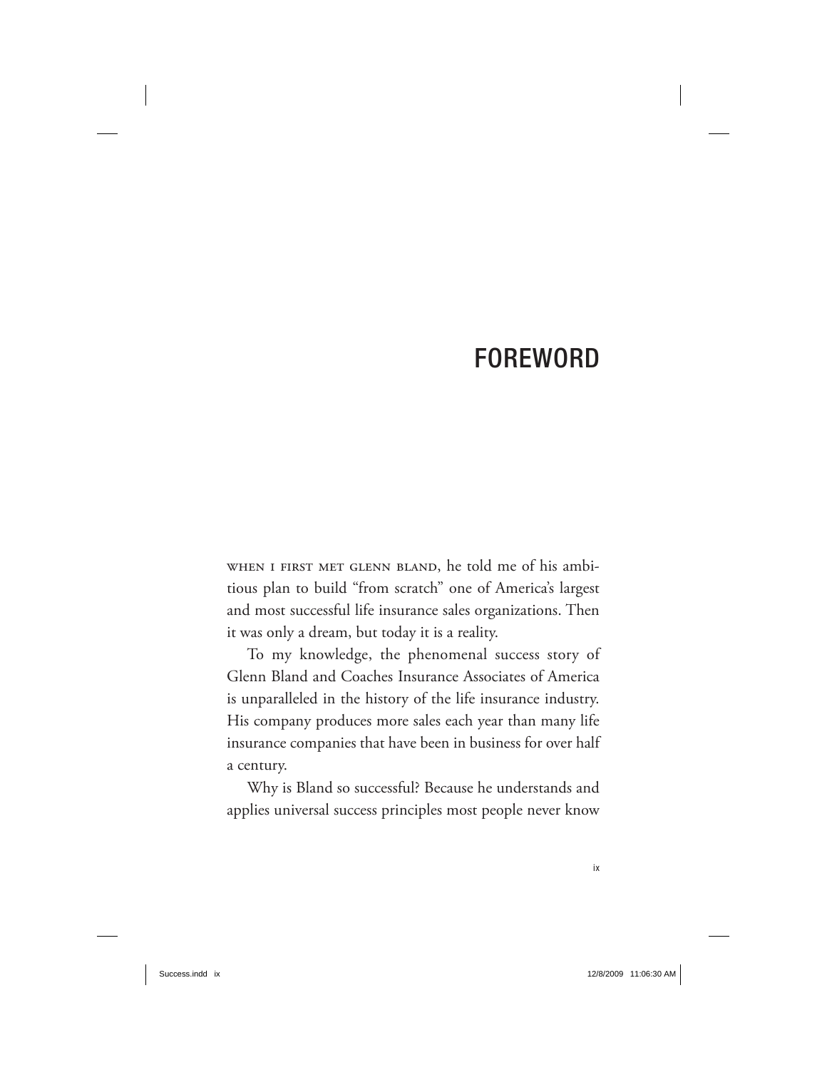# FOREWORD

when i first met glenn bland, he told me of his ambitious plan to build "from scratch" one of America's largest and most successful life insurance sales organizations. Then it was only a dream, but today it is a reality.

To my knowledge, the phenomenal success story of Glenn Bland and Coaches Insurance Associates of America is unparalleled in the history of the life insurance industry. His company produces more sales each year than many life insurance companies that have been in business for over half a century.

Why is Bland so successful? Because he understands and applies universal success principles most people never know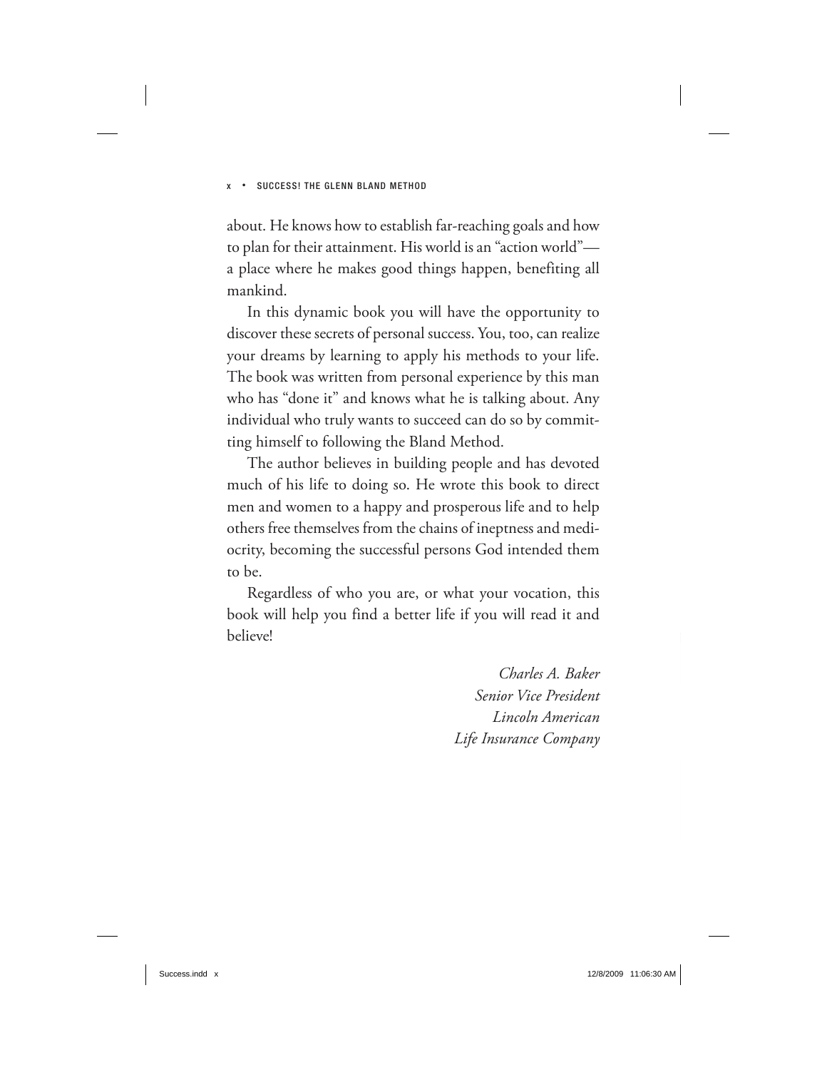about. He knows how to establish far-reaching goals and how to plan for their attainment. His world is an "action world" a place where he makes good things happen, benefiting all mankind.

In this dynamic book you will have the opportunity to discover these secrets of personal success. You, too, can realize your dreams by learning to apply his methods to your life. The book was written from personal experience by this man who has "done it" and knows what he is talking about. Any individual who truly wants to succeed can do so by committing himself to following the Bland Method.

The author believes in building people and has devoted much of his life to doing so. He wrote this book to direct men and women to a happy and prosperous life and to help others free themselves from the chains of ineptness and mediocrity, becoming the successful persons God intended them to be.

Regardless of who you are, or what your vocation, this book will help you find a better life if you will read it and believe!

> *Charles A. Baker Senior Vice President Lincoln American Life Insurance Company*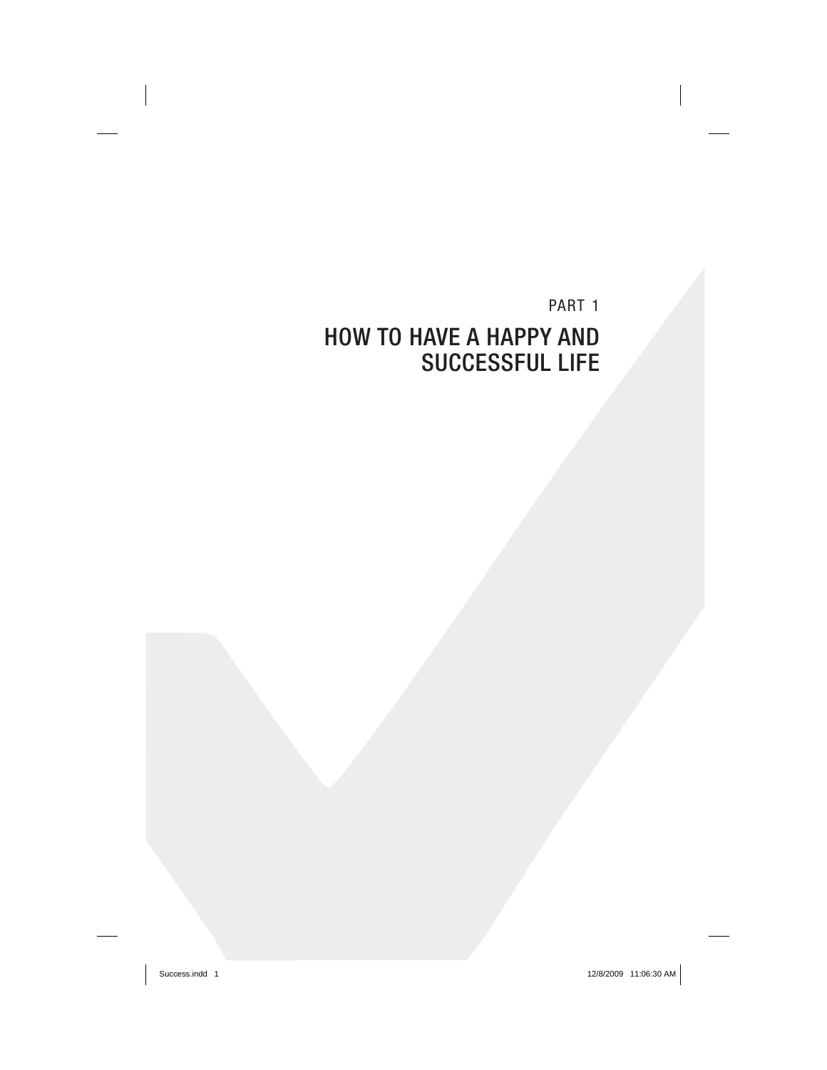### PART 1 HOW TO HAVE A HAPPY AND SUCCESSFUL LIFE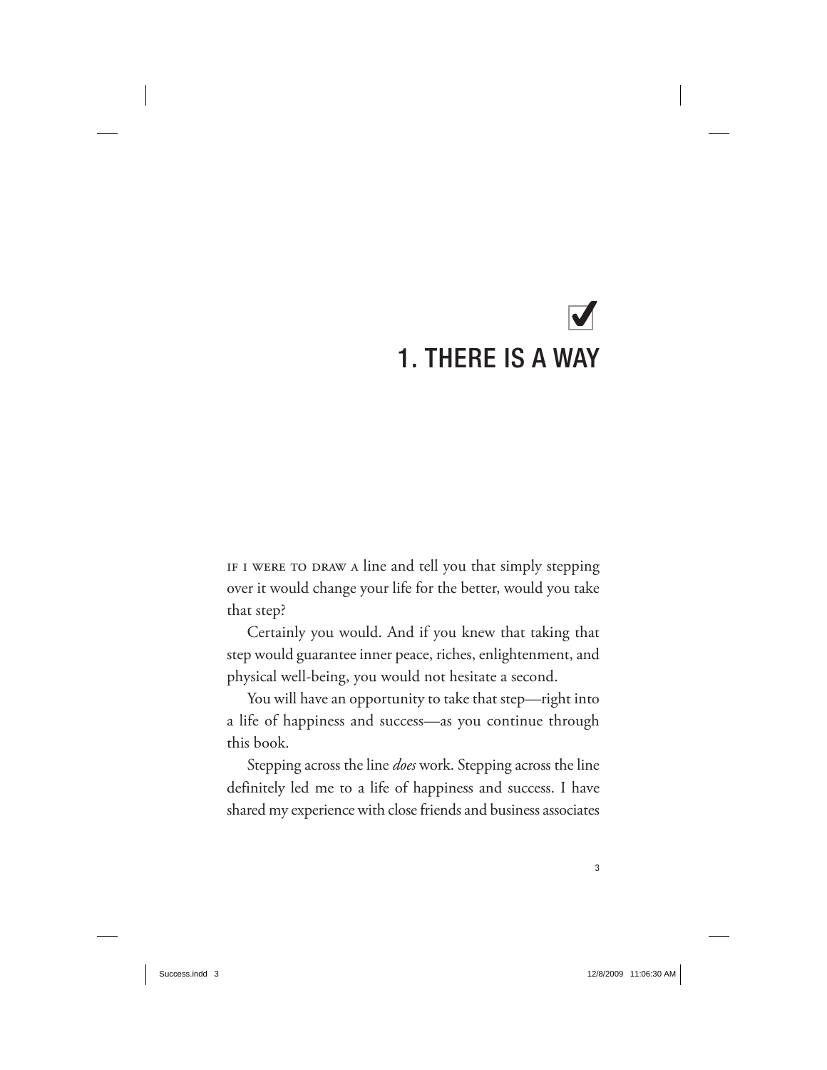# $\blacktriangledown$ 1. THERE IS A WAY

if i were to draw a line and tell you that simply stepping over it would change your life for the better, would you take that step?

Certainly you would. And if you knew that taking that step would guarantee inner peace, riches, enlightenment, and physical well- being, you would not hesitate a second.

You will have an opportunity to take that step—right into a life of happiness and success—as you continue through this book.

Stepping across the line *does* work. Stepping across the line definitely led me to a life of happiness and success. I have shared my experience with close friends and business associates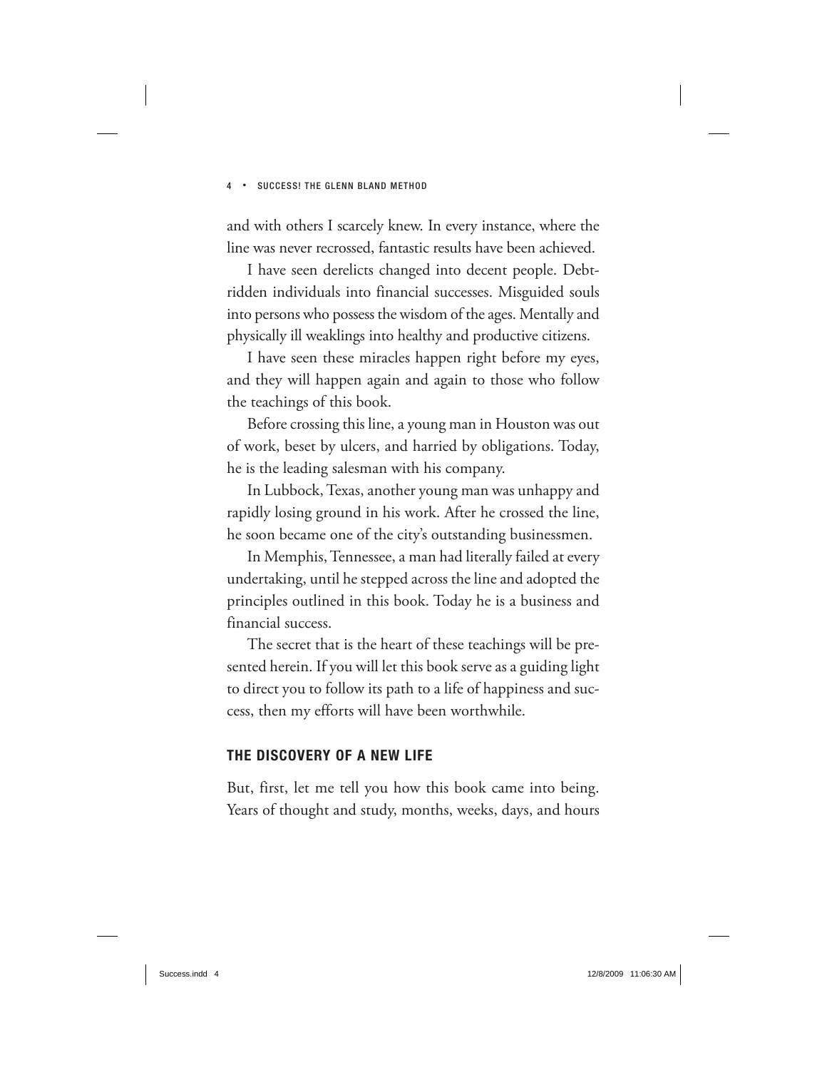and with others I scarcely knew. In every instance, where the line was never recrossed, fantastic results have been achieved.

I have seen derelicts changed into decent people. Debt ridden individuals into financial successes. Misguided souls into persons who possess the wisdom of the ages. Mentally and physically ill weaklings into healthy and productive citizens.

I have seen these miracles happen right before my eyes, and they will happen again and again to those who follow the teachings of this book.

Before crossing this line, a young man in Houston was out of work, beset by ulcers, and harried by obligations. Today, he is the leading salesman with his company.

In Lubbock, Texas, another young man was unhappy and rapidly losing ground in his work. After he crossed the line, he soon became one of the city's outstanding businessmen.

In Memphis, Tennessee, a man had literally failed at every undertaking, until he stepped across the line and adopted the principles outlined in this book. Today he is a business and financial success.

The secret that is the heart of these teachings will be presented herein. If you will let this book serve as a guiding light to direct you to follow its path to a life of happiness and success, then my efforts will have been worthwhile.

#### **THE DISCOVERY OF A NEW LIFE**

But, first, let me tell you how this book came into being. Years of thought and study, months, weeks, days, and hours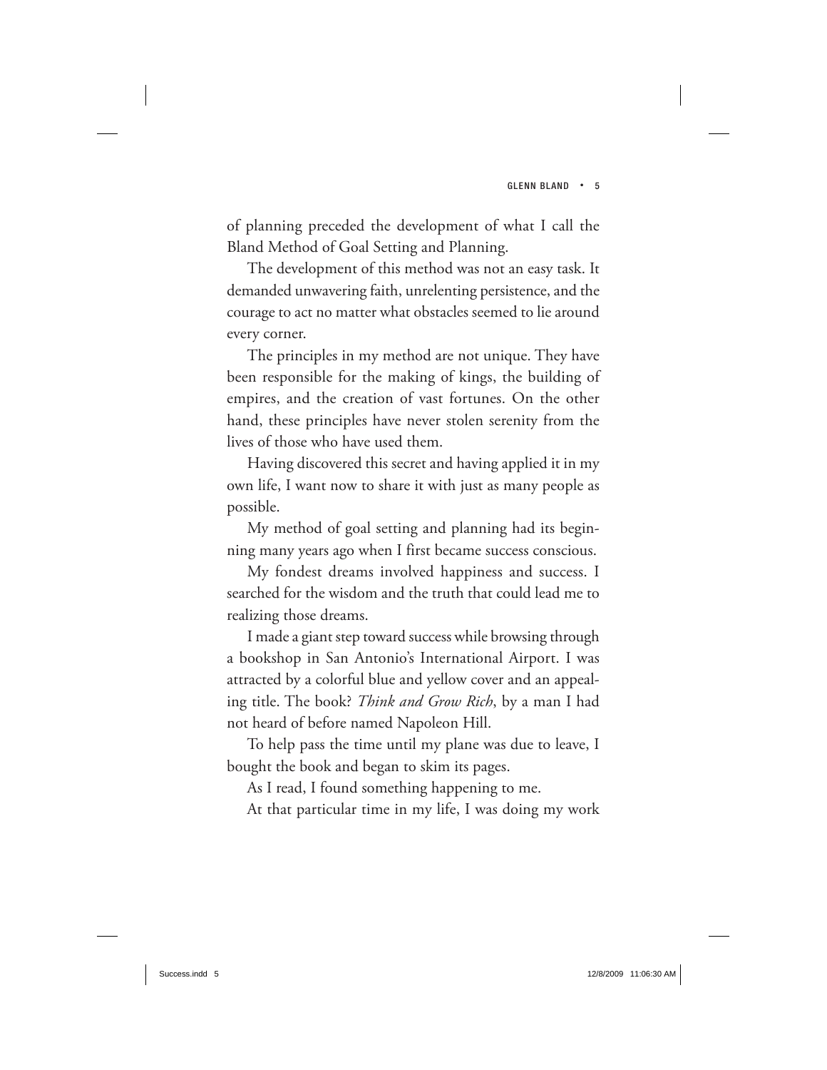of planning preceded the development of what I call the Bland Method of Goal Setting and Planning.

The development of this method was not an easy task. It demanded unwavering faith, unrelenting persistence, and the courage to act no matter what obstacles seemed to lie around every corner.

The principles in my method are not unique. They have been responsible for the making of kings, the building of empires, and the creation of vast fortunes. On the other hand, these principles have never stolen serenity from the lives of those who have used them.

Having discovered this secret and having applied it in my own life, I want now to share it with just as many people as possible.

My method of goal setting and planning had its beginning many years ago when I first became success conscious.

My fondest dreams involved happiness and success. I searched for the wisdom and the truth that could lead me to realizing those dreams.

I made a giant step toward success while browsing through a bookshop in San Antonio's International Airport. I was attracted by a colorful blue and yellow cover and an appealing title. The book? *Think and Grow Rich*, by a man I had not heard of before named Napoleon Hill.

To help pass the time until my plane was due to leave, I bought the book and began to skim its pages.

As I read, I found something happening to me.

At that particular time in my life, I was doing my work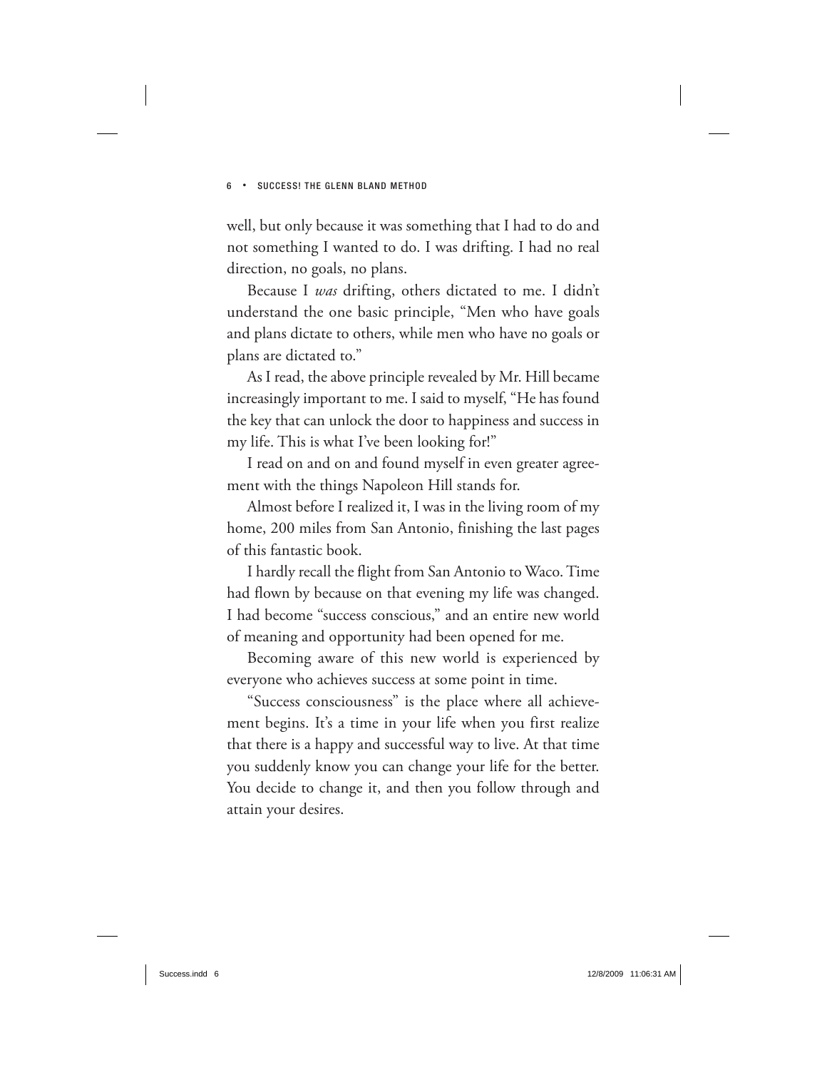well, but only because it was something that I had to do and not something I wanted to do. I was drifting. I had no real direction, no goals, no plans.

Because I *was* drifting, others dictated to me. I didn't understand the one basic principle, "Men who have goals and plans dictate to others, while men who have no goals or plans are dictated to."

As I read, the above principle revealed by Mr. Hill became increasingly important to me. I said to myself, "He has found the key that can unlock the door to happiness and success in my life. This is what I've been looking for!"

I read on and on and found myself in even greater agreement with the things Napoleon Hill stands for.

Almost before I realized it, I was in the living room of my home, 200 miles from San Antonio, finishing the last pages of this fantastic book.

I hardly recall the flight from San Antonio to Waco. Time had flown by because on that evening my life was changed. I had become "success conscious," and an entire new world of meaning and opportunity had been opened for me.

Becoming aware of this new world is experienced by everyone who achieves success at some point in time.

"Success consciousness" is the place where all achievement begins. It's a time in your life when you first realize that there is a happy and successful way to live. At that time you suddenly know you can change your life for the better. You decide to change it, and then you follow through and attain your desires.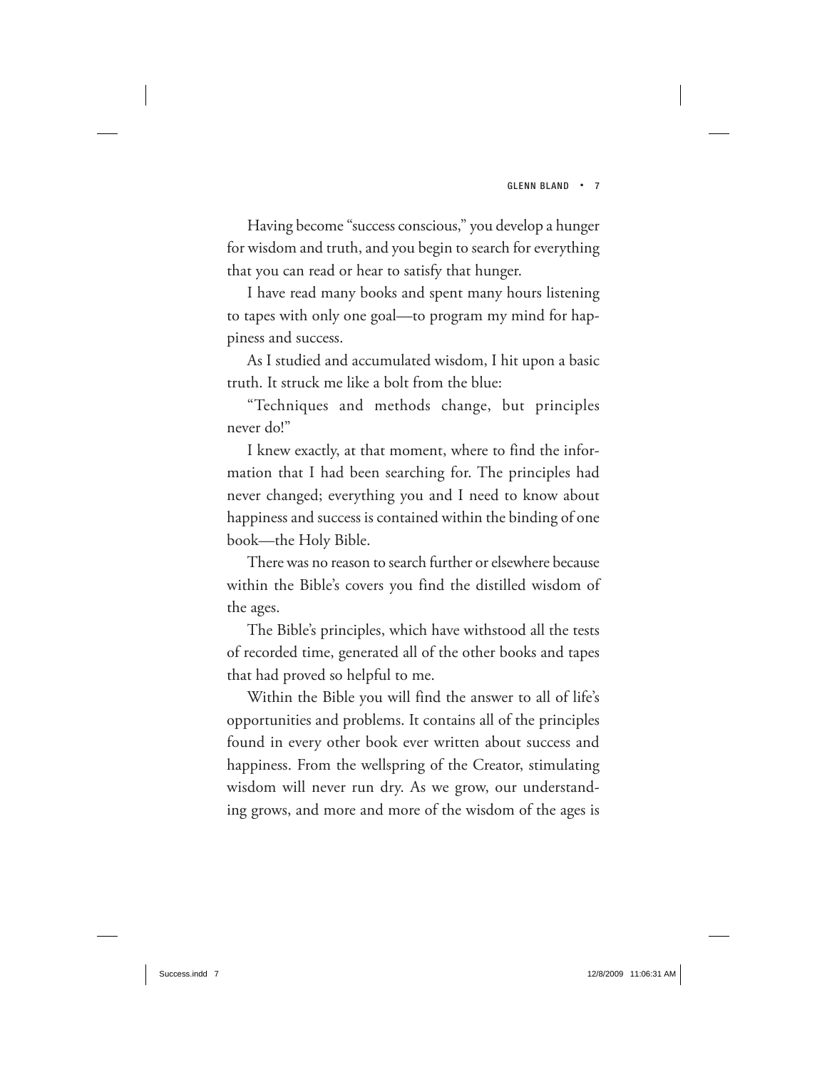Having become "success conscious," you develop a hunger for wisdom and truth, and you begin to search for everything that you can read or hear to satisfy that hunger.

I have read many books and spent many hours listening to tapes with only one goal—to program my mind for happiness and success.

As I studied and accumulated wisdom, I hit upon a basic truth. It struck me like a bolt from the blue:

"Techniques and methods change, but principles never do!"

I knew exactly, at that moment, where to find the information that I had been searching for. The principles had never changed; everything you and I need to know about happiness and success is contained within the binding of one book—the Holy Bible.

There was no reason to search further or elsewhere because within the Bible's covers you find the distilled wisdom of the ages.

The Bible's principles, which have withstood all the tests of recorded time, generated all of the other books and tapes that had proved so helpful to me.

Within the Bible you will find the answer to all of life's opportunities and problems. It contains all of the principles found in every other book ever written about success and happiness. From the wellspring of the Creator, stimulating wisdom will never run dry. As we grow, our understanding grows, and more and more of the wisdom of the ages is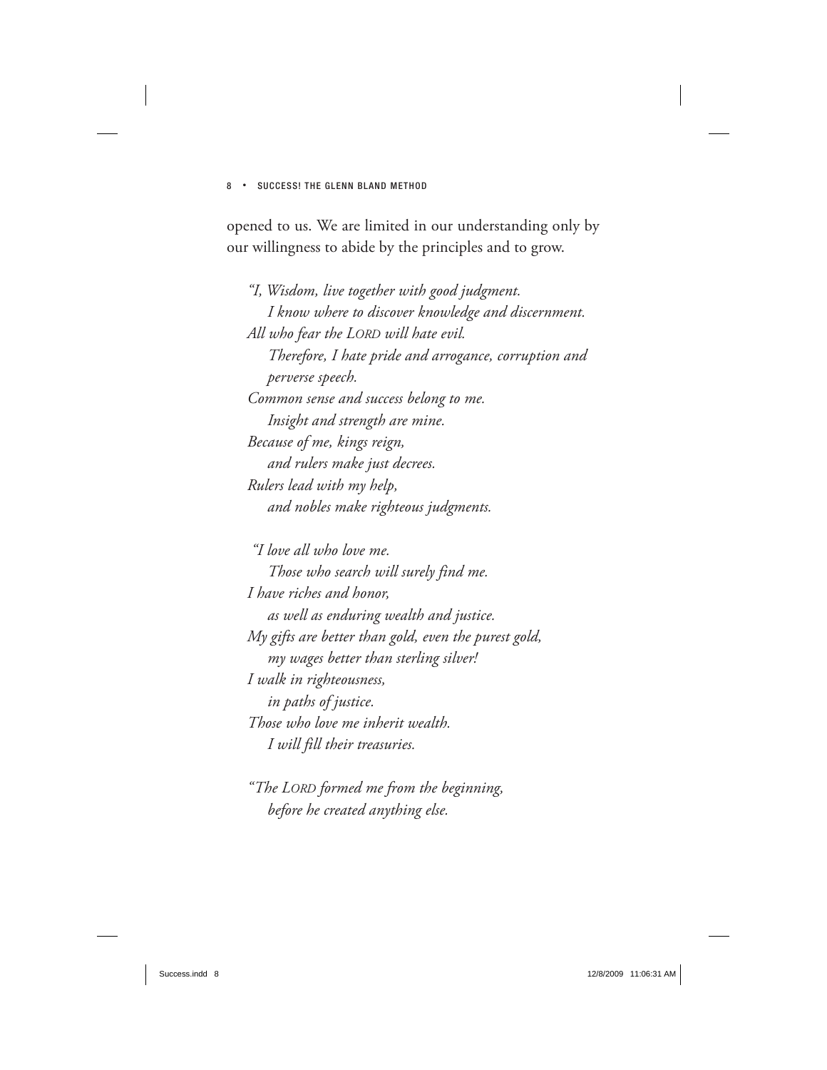opened to us. We are limited in our understanding only by our willingness to abide by the principles and to grow.

*"I, Wisdom, live together with good judgment. I know where to discover knowledge and discernment. All who fear the LORD will hate evil. Therefore, I hate pride and arrogance, corruption and perverse speech. Common sense and success belong to me. Insight and strength are mine. Because of me, kings reign, and rulers make just decrees. Rulers lead with my help, and nobles make righteous judgments.*

 *"I love all who love me. Those who search will surely find me. I have riches and honor, as well as enduring wealth and justice. My gifts are better than gold, even the purest gold, my wages better than sterling silver! I walk in righteousness, in paths of justice. Those who love me inherit wealth. I will fill their treasuries.* 

*"The LORD formed me from the beginning, before he created anything else.*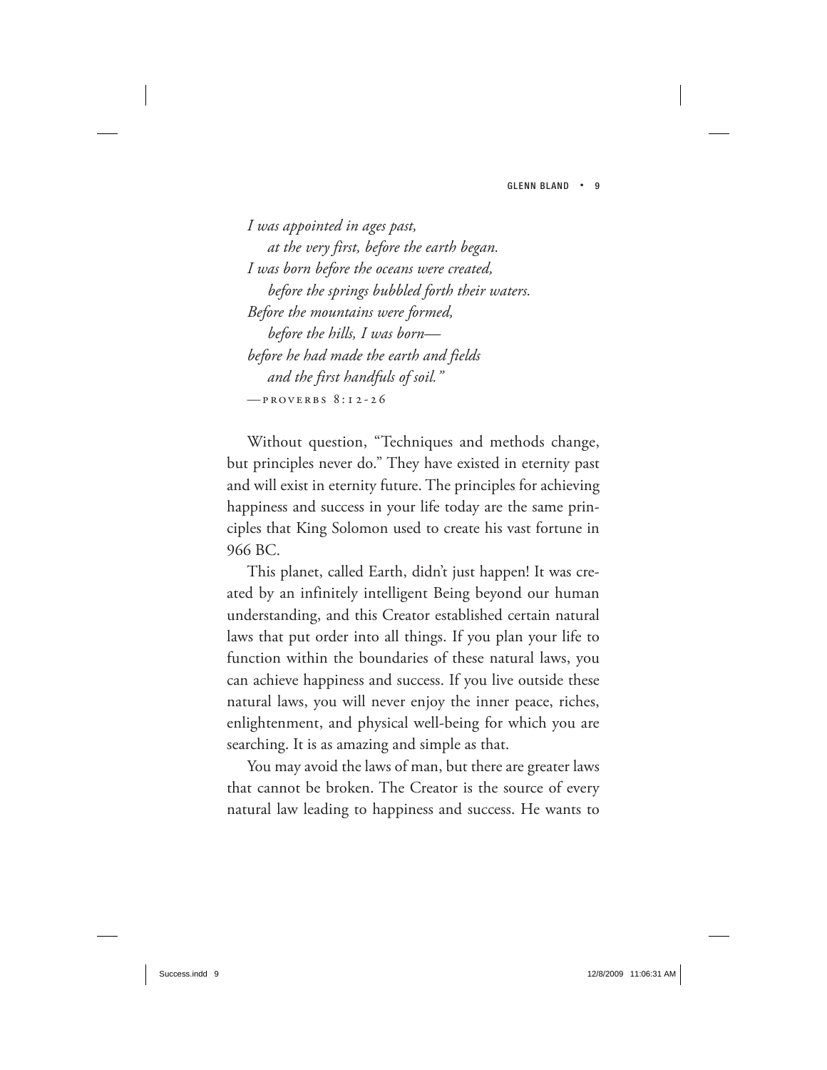*I was appointed in ages past, at the very first, before the earth began. I was born before the oceans were created, before the springs bubbled forth their waters. Before the mountains were formed, before the hills, I was born before he had made the earth and fields and the first handfuls of soil."*  $-$  PROVERBS  $8 \cdot 12 - 26$ 

Without question, "Techniques and methods change, but principles never do." They have existed in eternity past and will exist in eternity future. The principles for achieving happiness and success in your life today are the same principles that King Solomon used to create his vast fortune in 966 BC.

This planet, called Earth, didn't just happen! It was created by an infinitely intelligent Being beyond our human understanding, and this Creator established certain natural laws that put order into all things. If you plan your life to function within the boundaries of these natural laws, you can achieve happiness and success. If you live outside these natural laws, you will never enjoy the inner peace, riches, enlightenment, and physical well-being for which you are searching. It is as amazing and simple as that.

You may avoid the laws of man, but there are greater laws that cannot be broken. The Creator is the source of every natural law leading to happiness and success. He wants to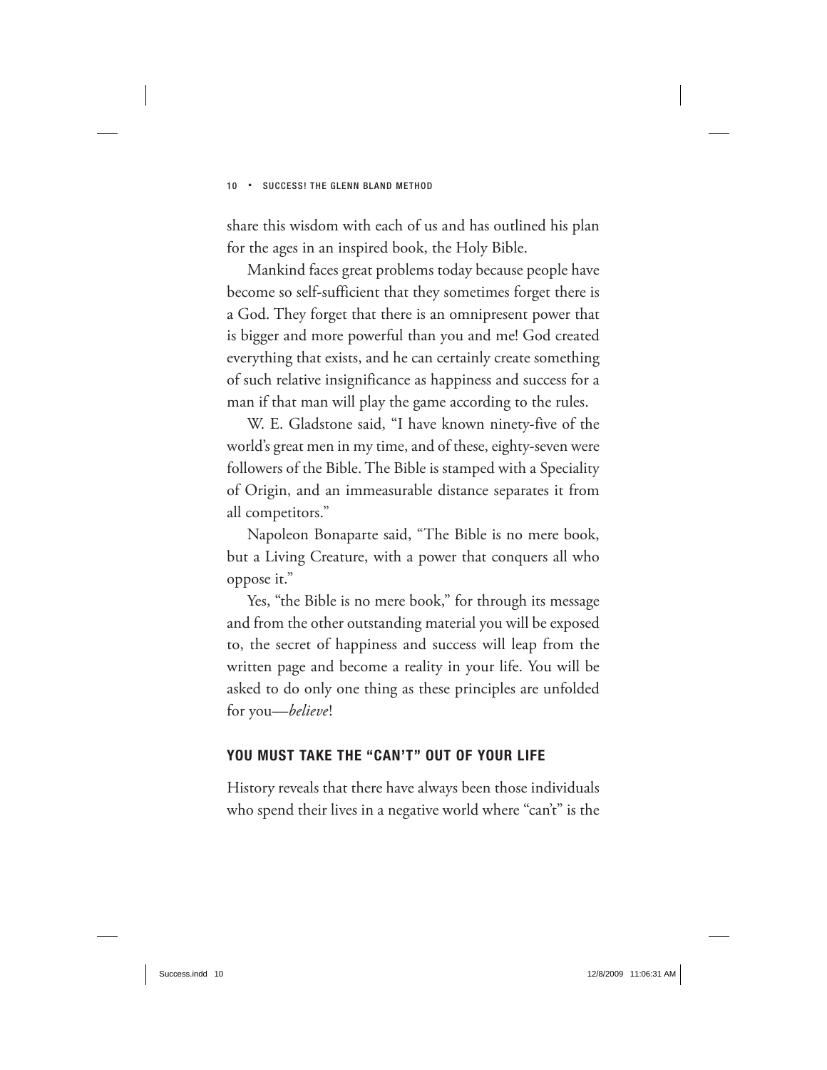share this wisdom with each of us and has outlined his plan for the ages in an inspired book, the Holy Bible.

Mankind faces great problems today because people have become so self- sufficient that they sometimes forget there is a God. They forget that there is an omnipresent power that is bigger and more powerful than you and me! God created everything that exists, and he can certainly create something of such relative insignificance as happiness and success for a man if that man will play the game according to the rules.

W. E. Gladstone said, "I have known ninety-five of the world's great men in my time, and of these, eighty-seven were followers of the Bible. The Bible is stamped with a Speciality of Origin, and an immeasurable distance separates it from all competitors."

Napoleon Bonaparte said, "The Bible is no mere book, but a Living Creature, with a power that conquers all who oppose it."

Yes, "the Bible is no mere book," for through its message and from the other outstanding material you will be exposed to, the secret of happiness and success will leap from the written page and become a reality in your life. You will be asked to do only one thing as these principles are unfolded for you—*believe*!

#### **YOU MUST TAKE THE "CAN'T" OUT OF YOUR LIFE**

History reveals that there have always been those individuals who spend their lives in a negative world where "can't" is the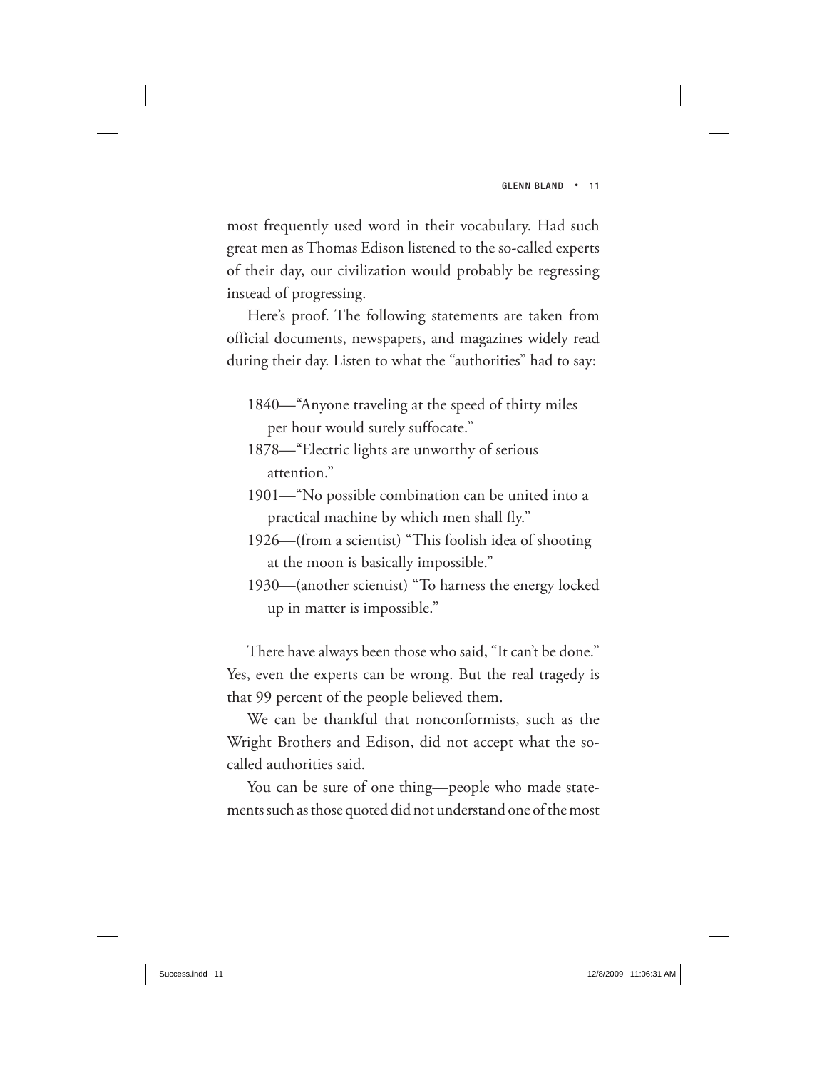most frequently used word in their vocabulary. Had such great men as Thomas Edison listened to the so- called experts of their day, our civilization would probably be regressing instead of progressing.

Here's proof. The following statements are taken from official documents, newspapers, and magazines widely read during their day. Listen to what the "authorities" had to say:

- 1840—"Anyone traveling at the speed of thirty miles per hour would surely suffocate."
- 1878—"Electric lights are unworthy of serious attention."
- 1901—"No possible combination can be united into a practical machine by which men shall fly."
- 1926—(from a scientist) "This foolish idea of shooting at the moon is basically impossible."
- 1930—(another scientist) "To harness the energy locked up in matter is impossible."

There have always been those who said, "It can't be done." Yes, even the experts can be wrong. But the real tragedy is that 99 percent of the people believed them.

We can be thankful that nonconformists, such as the Wright Brothers and Edison, did not accept what the socalled authorities said.

You can be sure of one thing—people who made statements such as those quoted did not understand one of the most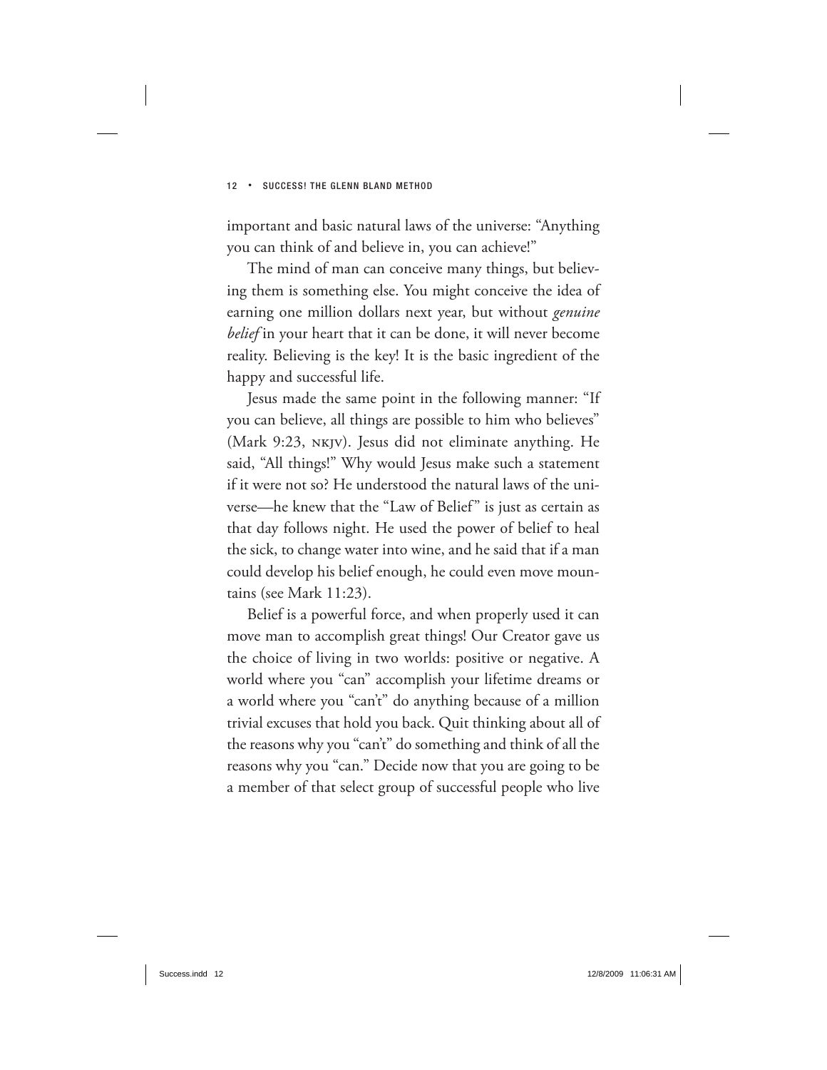important and basic natural laws of the universe: "Anything you can think of and believe in, you can achieve!"

The mind of man can conceive many things, but believing them is something else. You might conceive the idea of earning one million dollars next year, but without *genuine belief* in your heart that it can be done, it will never become reality. Believing is the key! It is the basic ingredient of the happy and successful life.

Jesus made the same point in the following manner: "If you can believe, all things are possible to him who believes" (Mark 9:23, nkjv). Jesus did not eliminate anything. He said, "All things!" Why would Jesus make such a statement if it were not so? He understood the natural laws of the universe—he knew that the "Law of Belief" is just as certain as that day follows night. He used the power of belief to heal the sick, to change water into wine, and he said that if a man could develop his belief enough, he could even move mountains (see Mark 11:23).

Belief is a powerful force, and when properly used it can move man to accomplish great things! Our Creator gave us the choice of living in two worlds: positive or negative. A world where you "can" accomplish your lifetime dreams or a world where you "can't" do anything because of a million trivial excuses that hold you back. Quit thinking about all of the reasons why you "can't" do something and think of all the reasons why you "can." Decide now that you are going to be a member of that select group of successful people who live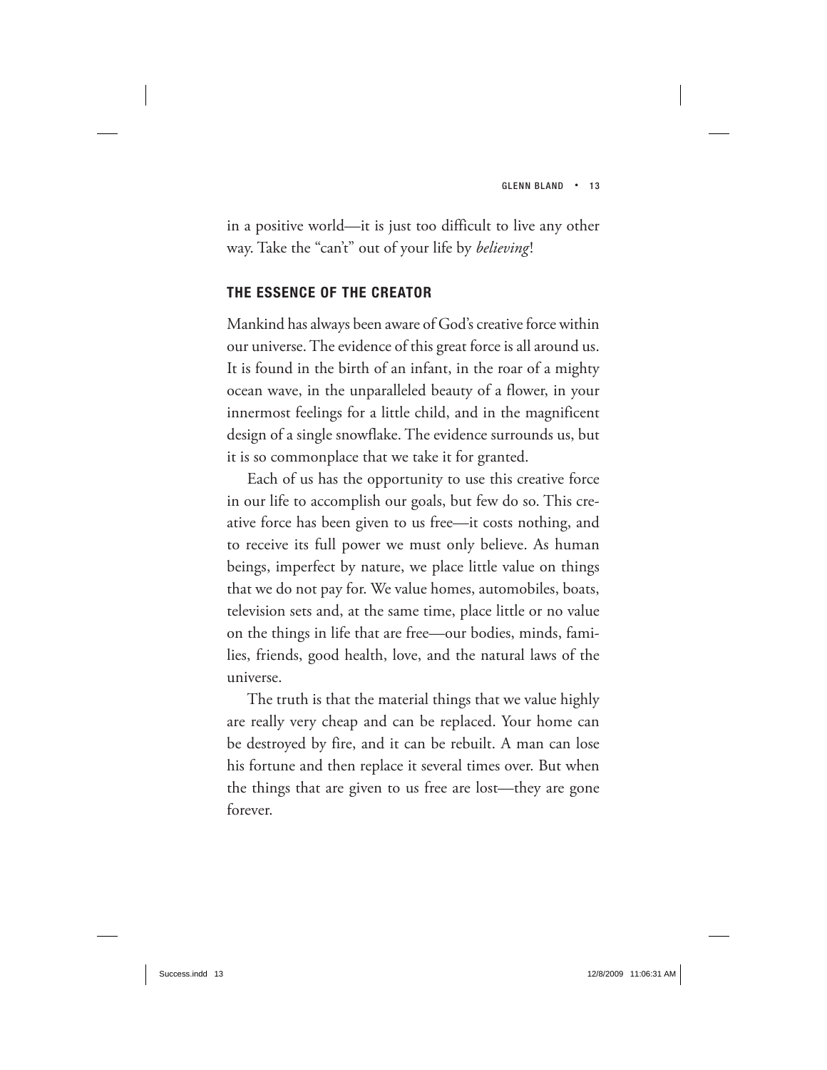in a positive world—it is just too difficult to live any other way. Take the "can't" out of your life by *believing*!

#### **THE ESSENCE OF THE CREATOR**

Mankind has always been aware of God's creative force within our universe. The evidence of this great force is all around us. It is found in the birth of an infant, in the roar of a mighty ocean wave, in the unparalleled beauty of a flower, in your innermost feelings for a little child, and in the magnificent design of a single snowflake. The evidence surrounds us, but it is so commonplace that we take it for granted.

Each of us has the opportunity to use this creative force in our life to accomplish our goals, but few do so. This creative force has been given to us free—it costs nothing, and to receive its full power we must only believe. As human beings, imperfect by nature, we place little value on things that we do not pay for. We value homes, automobiles, boats, television sets and, at the same time, place little or no value on the things in life that are free—our bodies, minds, families, friends, good health, love, and the natural laws of the universe.

The truth is that the material things that we value highly are really very cheap and can be replaced. Your home can be destroyed by fire, and it can be rebuilt. A man can lose his fortune and then replace it several times over. But when the things that are given to us free are lost—they are gone forever.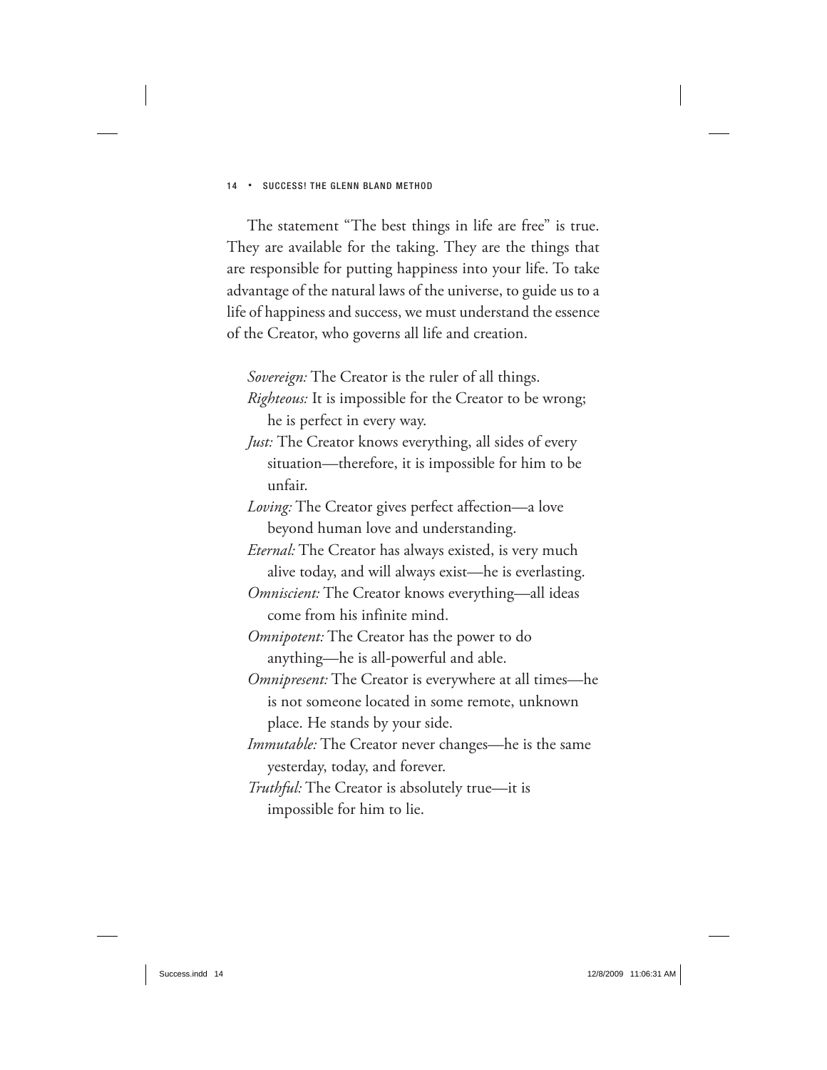The statement "The best things in life are free" is true. They are available for the taking. They are the things that are responsible for putting happiness into your life. To take advantage of the natural laws of the universe, to guide us to a life of happiness and success, we must understand the essence of the Creator, who governs all life and creation.

*Sovereign:* The Creator is the ruler of all things.

*Righteous:* It is impossible for the Creator to be wrong; he is perfect in every way.

- *Just:* The Creator knows everything, all sides of every situation—therefore, it is impossible for him to be unfair.
- *Loving:* The Creator gives perfect affection—a love beyond human love and understanding.
- *Eternal:* The Creator has always existed, is very much alive today, and will always exist—he is everlasting.
- *Omniscient:* The Creator knows everything—all ideas come from his infinite mind.
- *Omnipotent:* The Creator has the power to do anything—he is all-powerful and able.
- *Omnipresent:* The Creator is everywhere at all times—he is not someone located in some remote, unknown place. He stands by your side.
- *Immutable:* The Creator never changes—he is the same yesterday, today, and forever.

*Truthful:* The Creator is absolutely true—it is impossible for him to lie.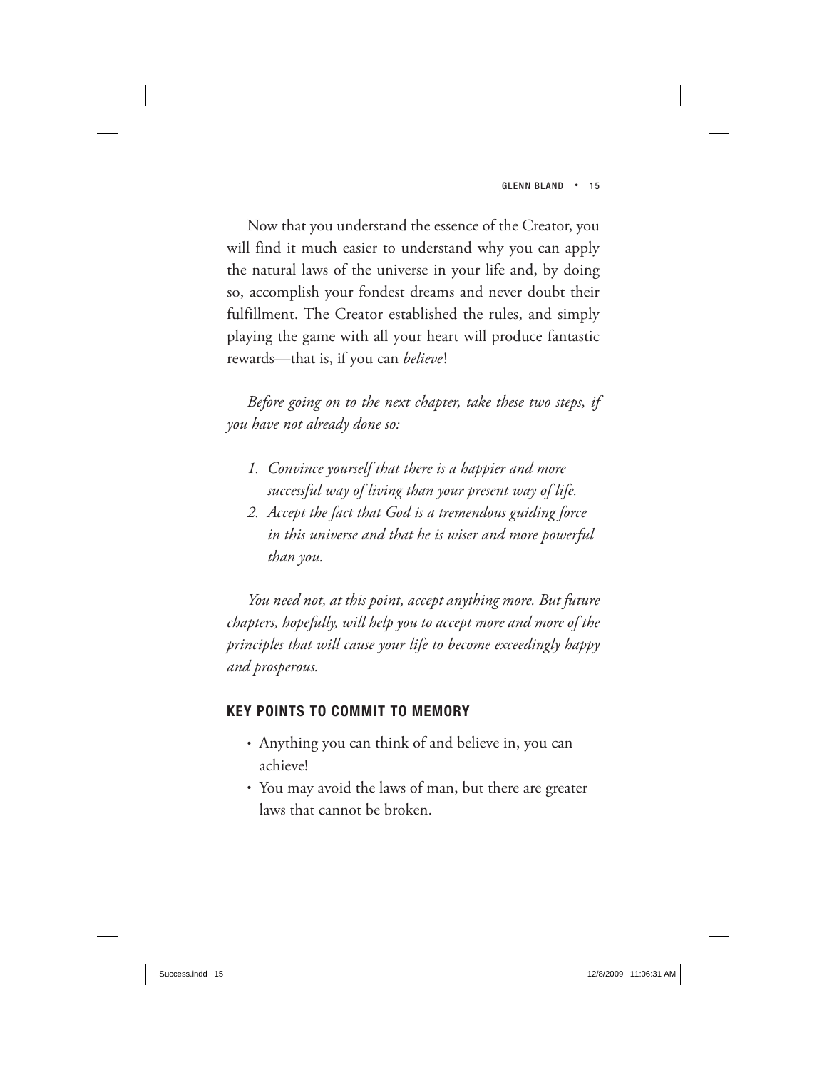Now that you understand the essence of the Creator, you will find it much easier to understand why you can apply the natural laws of the universe in your life and, by doing so, accomplish your fondest dreams and never doubt their fulfillment. The Creator established the rules, and simply playing the game with all your heart will produce fantastic rewards—that is, if you can *believe*!

*Before going on to the next chapter, take these two steps, if you have not already done so:*

- *1. Convince yourself that there is a happier and more successful way of living than your present way of life.*
- *2. Accept the fact that God is a tremendous guiding force in this universe and that he is wiser and more powerful than you.*

*You need not, at this point, accept anything more. But future chapters, hopefully, will help you to accept more and more of the principles that will cause your life to become exceedingly happy and prosperous.*

#### **KEY POINTS TO COMMIT TO MEMORY**

- Anything you can think of and believe in, you can achieve!
- You may avoid the laws of man, but there are greater laws that cannot be broken.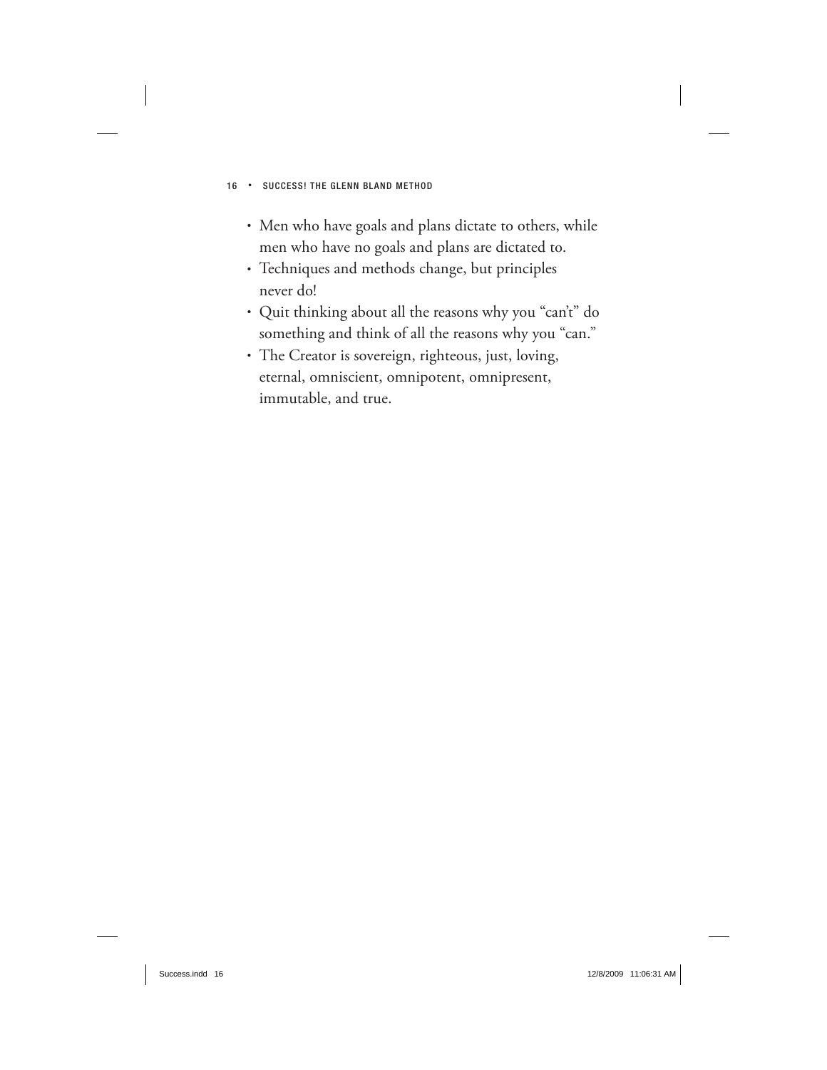- Men who have goals and plans dictate to others, while men who have no goals and plans are dictated to.
- Techniques and methods change, but principles never do!
- Quit thinking about all the reasons why you "can't" do something and think of all the reasons why you "can."
- The Creator is sovereign, righteous, just, loving, eternal, omniscient, omnipotent, omnipresent, immutable, and true.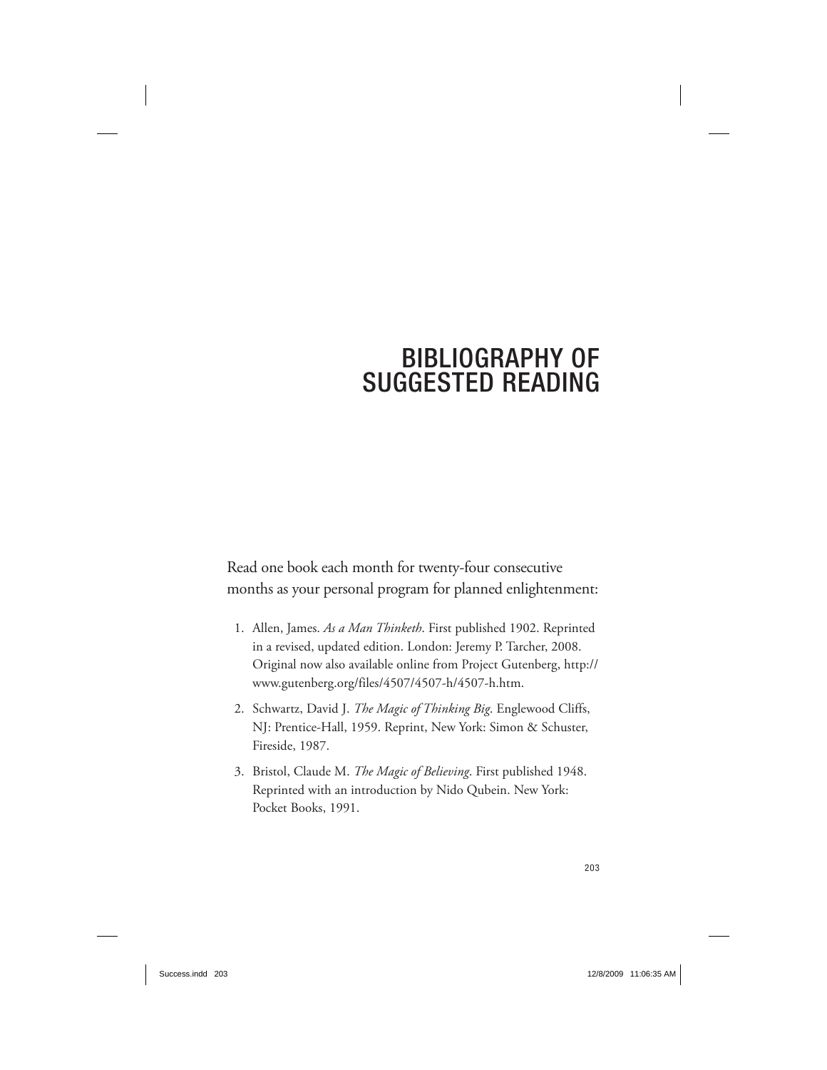## BIBLIOGRAPHY OF SUGGESTED READING

Read one book each month for twenty-four consecutive months as your personal program for planned enlightenment:

- 1. Allen, James. *As a Man Thinketh*. First published 1902. Reprinted in a revised, updated edition. London: Jeremy P. Tarcher, 2008. Original now also available online from Project Gutenberg, http:// www.gutenberg.org/files/4507/4507-h/4507-h.htm.
- 2. Schwartz, David J. *The Magic of Thinking Big*. Englewood Cliffs, NJ: Prentice-Hall, 1959. Reprint, New York: Simon & Schuster, Fireside, 1987.
- 3. Bristol, Claude M. *The Magic of Believing*. First published 1948. Reprinted with an introduction by Nido Qubein. New York: Pocket Books, 1991.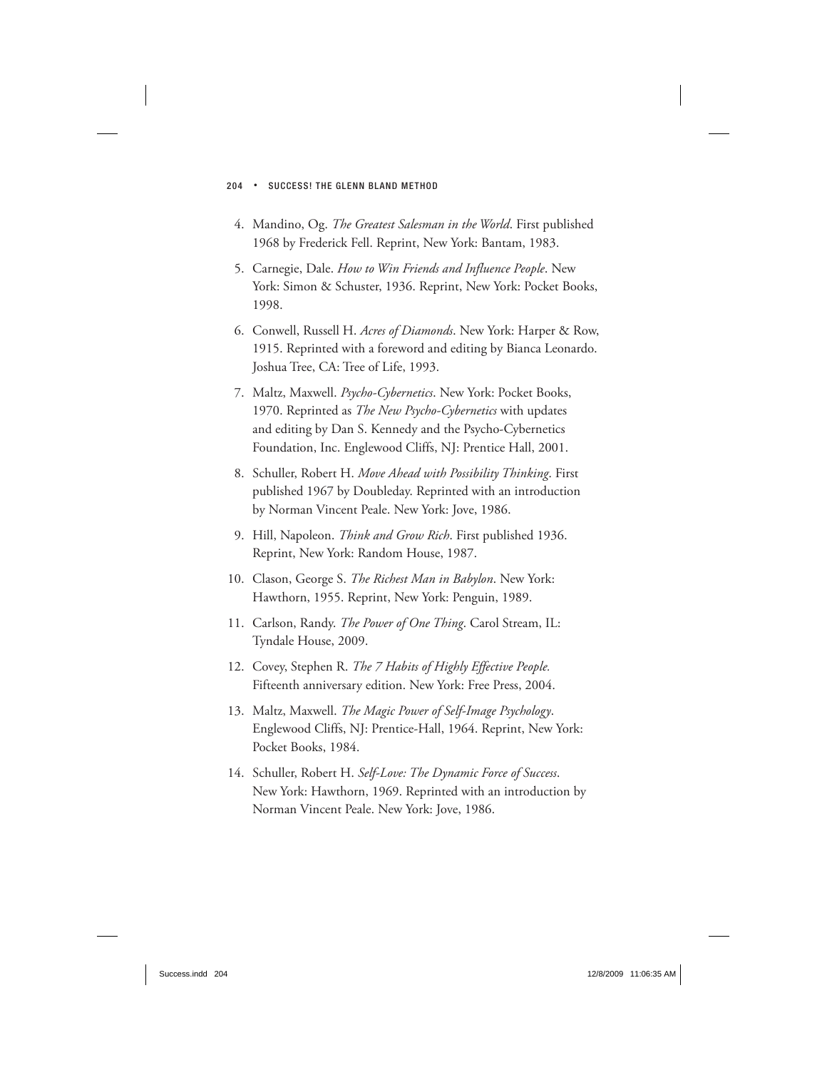- 4. Mandino, Og. *The Greatest Salesman in the World*. First published 1968 by Frederick Fell. Reprint, New York: Bantam, 1983.
- 5. Carnegie, Dale. *How to Win Friends and Influence People*. New York: Simon & Schuster, 1936. Reprint, New York: Pocket Books, 1998.
- 6. Conwell, Russell H. *Acres of Diamonds*. New York: Harper & Row, 1915. Reprinted with a foreword and editing by Bianca Leonardo. Joshua Tree, CA: Tree of Life, 1993.
- 7. Maltz, Maxwell. *Psycho- Cybernetics*. New York: Pocket Books, 1970. Reprinted as *The New Psycho- Cybernetics* with updates and editing by Dan S. Kennedy and the Psycho-Cybernetics Foundation, Inc. Englewood Cliffs, NJ: Prentice Hall, 2001.
- 8. Schuller, Robert H. *Move Ahead with Possibility Thinking*. First published 1967 by Doubleday. Reprinted with an introduction by Norman Vincent Peale. New York: Jove, 1986.
- 9. Hill, Napoleon. *Think and Grow Rich*. First published 1936. Reprint, New York: Random House, 1987.
- 10. Clason, George S. *The Richest Man in Babylon*. New York: Hawthorn, 1955. Reprint, New York: Penguin, 1989.
- 11. Carlson, Randy. *The Power of One Thing*. Carol Stream, IL: Tyndale House, 2009.
- 12. Covey, Stephen R. *The 7 Habits of Highly Effective People.* Fifteenth anniversary edition. New York: Free Press, 2004.
- 13. Maltz, Maxwell. *The Magic Power of Self- Image Psychology*. Englewood Cliffs, NJ: Prentice- Hall, 1964. Reprint, New York: Pocket Books, 1984.
- 14. Schuller, Robert H. *Self- Love: The Dynamic Force of Success*. New York: Hawthorn, 1969. Reprinted with an introduction by Norman Vincent Peale. New York: Jove, 1986.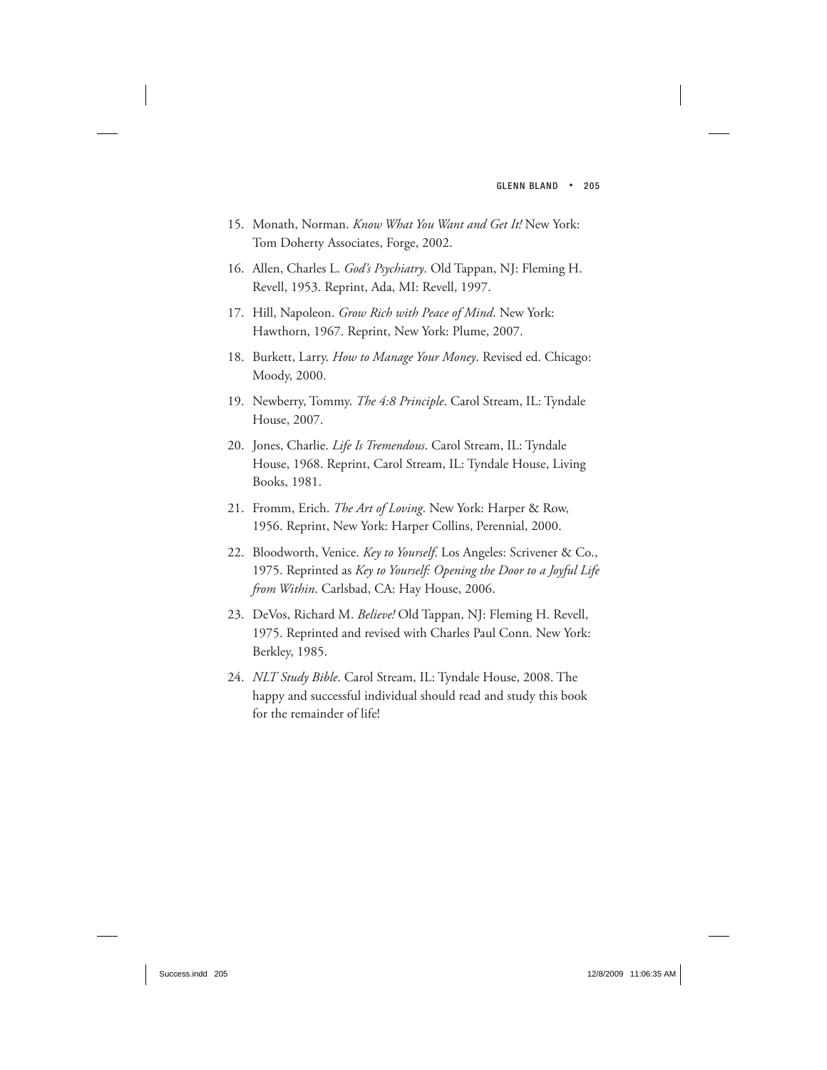- 15. Monath, Norman. *Know What You Want and Get It!* New York: Tom Doherty Associates, Forge, 2002.
- 16. Allen, Charles L. *God's Psychiatry*. Old Tappan, NJ: Fleming H. Revell, 1953. Reprint, Ada, MI: Revell, 1997.
- 17. Hill, Napoleon. *Grow Rich with Peace of Mind*. New York: Hawthorn, 1967. Reprint, New York: Plume, 2007.
- 18. Burkett, Larry. *How to Manage Your Money*. Revised ed. Chicago: Moody, 2000.
- 19. Newberry, Tommy. *The 4:8 Principle*. Carol Stream, IL: Tyndale House, 2007.
- 20. Jones, Charlie. *Life Is Tremendous*. Carol Stream, IL: Tyndale House, 1968. Reprint, Carol Stream, IL: Tyndale House, Living Books, 1981.
- 21. Fromm, Erich. *The Art of Loving*. New York: Harper & Row, 1956. Reprint, New York: Harper Collins, Perennial, 2000.
- 22. Bloodworth, Venice. *Key to Yourself*. Los Angeles: Scrivener & Co., 1975. Reprinted as *Key to Yourself: Opening the Door to a Joyful Life from Within*. Carlsbad, CA: Hay House, 2006.
- 23. DeVos, Richard M. *Believe!* Old Tappan, NJ: Fleming H. Revell, 1975. Reprinted and revised with Charles Paul Conn. New York: Berkley, 1985.
- 24. *NLT Study Bible*. Carol Stream, IL: Tyndale House, 2008. The happy and successful individual should read and study this book for the remainder of life!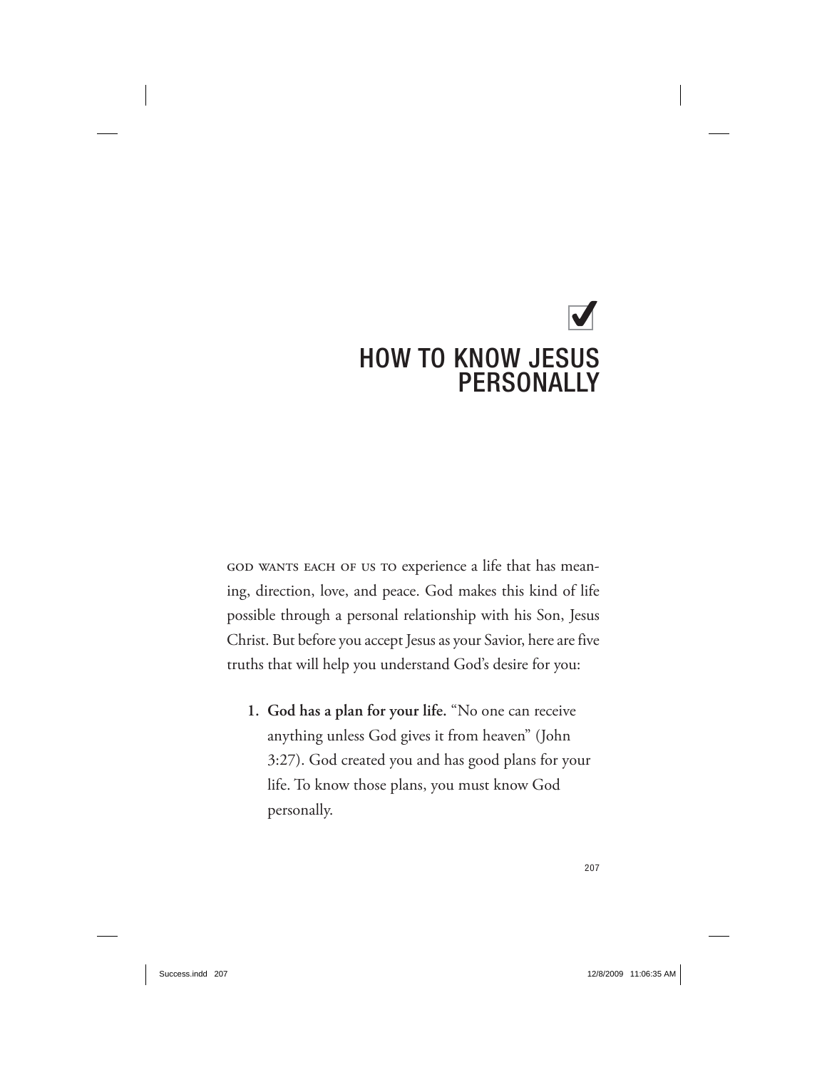# $\blacktriangledown$ HOW TO KNOW JESUS PERSONALLY

god wants each of us to experience a life that has meaning, direction, love, and peace. God makes this kind of life possible through a personal relationship with his Son, Jesus Christ. But before you accept Jesus as your Savior, here are five truths that will help you understand God's desire for you:

**1. God has a plan for your life.** "No one can receive anything unless God gives it from heaven" (John 3:27). God created you and has good plans for your life. To know those plans, you must know God personally.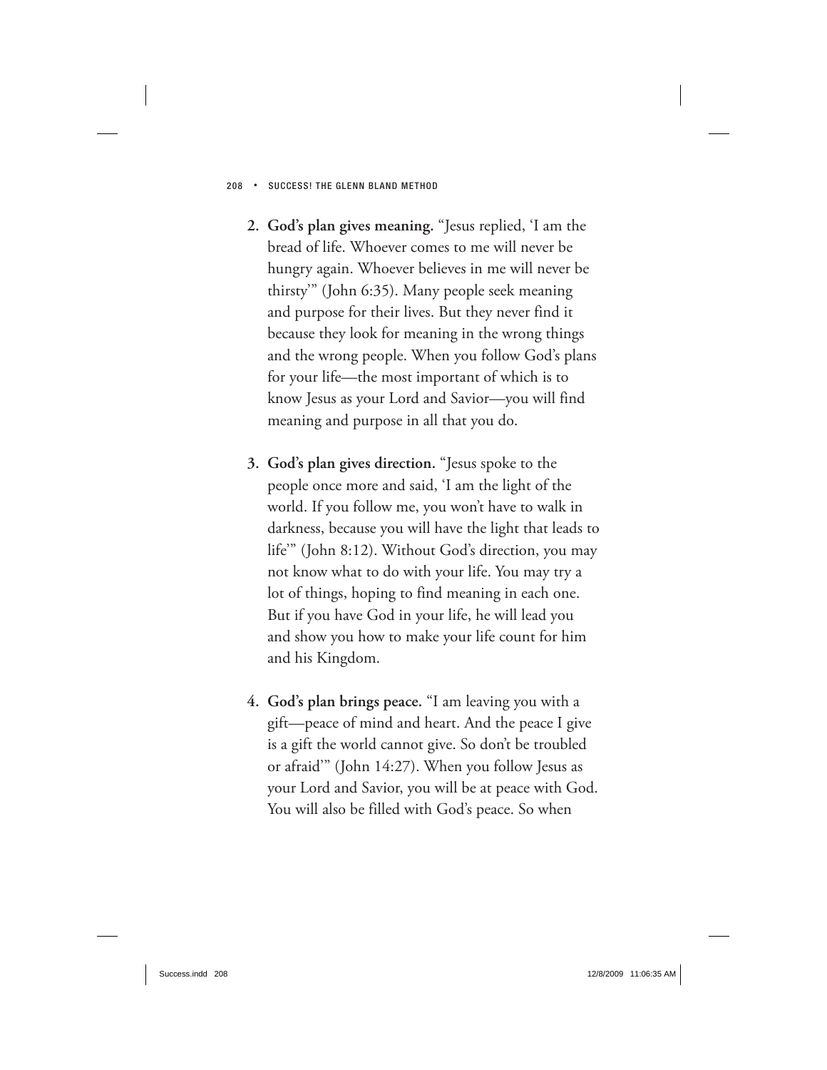- **2. God's plan gives meaning.** "Jesus replied, 'I am the bread of life. Whoever comes to me will never be hungry again. Whoever believes in me will never be thirsty'" (John 6:35). Many people seek meaning and purpose for their lives. But they never find it because they look for meaning in the wrong things and the wrong people. When you follow God's plans for your life—the most important of which is to know Jesus as your Lord and Savior—you will find meaning and purpose in all that you do.
- **3. God's plan gives direction.** "Jesus spoke to the people once more and said, 'I am the light of the world. If you follow me, you won't have to walk in darkness, because you will have the light that leads to life'" (John 8:12). Without God's direction, you may not know what to do with your life. You may try a lot of things, hoping to find meaning in each one. But if you have God in your life, he will lead you and show you how to make your life count for him and his Kingdom.
- **4. God's plan brings peace.** "I am leaving you with a gift—peace of mind and heart. And the peace I give is a gift the world cannot give. So don't be troubled or afraid'" (John 14:27). When you follow Jesus as your Lord and Savior, you will be at peace with God. You will also be filled with God's peace. So when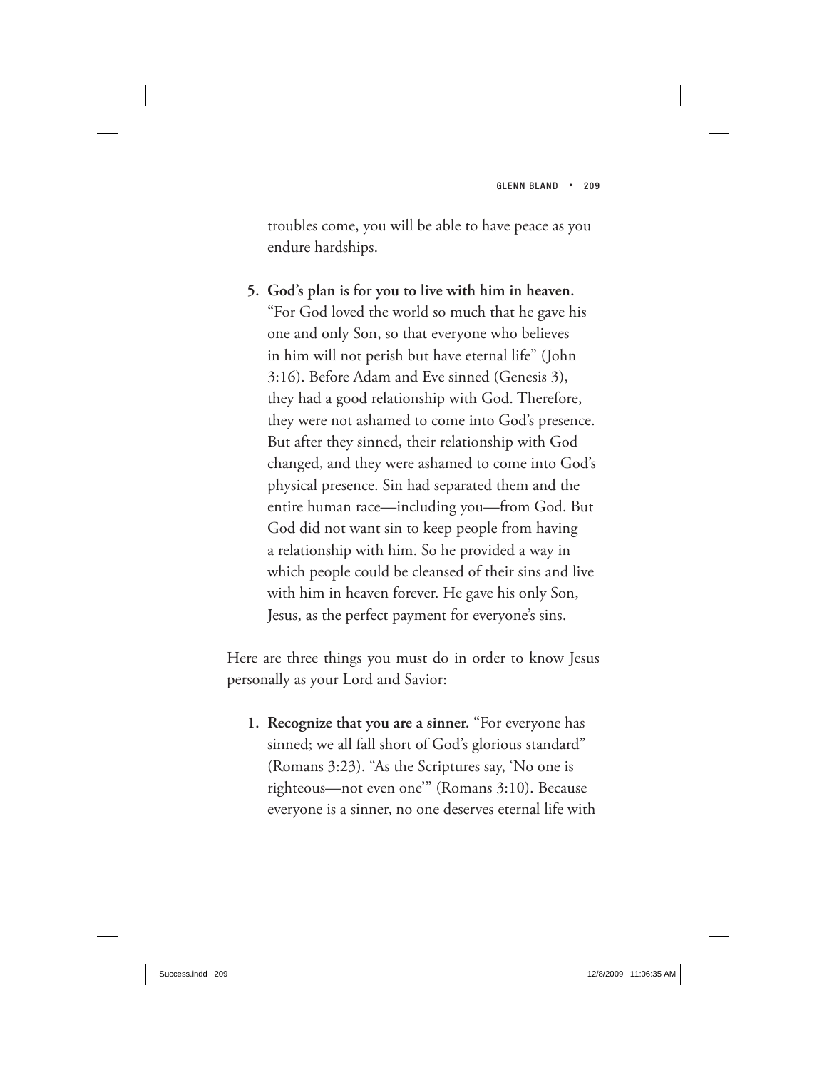troubles come, you will be able to have peace as you endure hardships.

**5. God's plan is for you to live with him in heaven.**  "For God loved the world so much that he gave his one and only Son, so that everyone who believes in him will not perish but have eternal life" (John 3:16). Before Adam and Eve sinned (Genesis 3), they had a good relationship with God. Therefore, they were not ashamed to come into God's presence. But after they sinned, their relationship with God changed, and they were ashamed to come into God's physical presence. Sin had separated them and the entire human race—including you—from God. But God did not want sin to keep people from having a relationship with him. So he provided a way in which people could be cleansed of their sins and live with him in heaven forever. He gave his only Son, Jesus, as the perfect payment for everyone's sins.

Here are three things you must do in order to know Jesus personally as your Lord and Savior:

**1. Recognize that you are a sinner.** "For everyone has sinned; we all fall short of God's glorious standard" (Romans 3:23). "As the Scriptures say, 'No one is righteous—not even one'" (Romans 3:10). Because everyone is a sinner, no one deserves eternal life with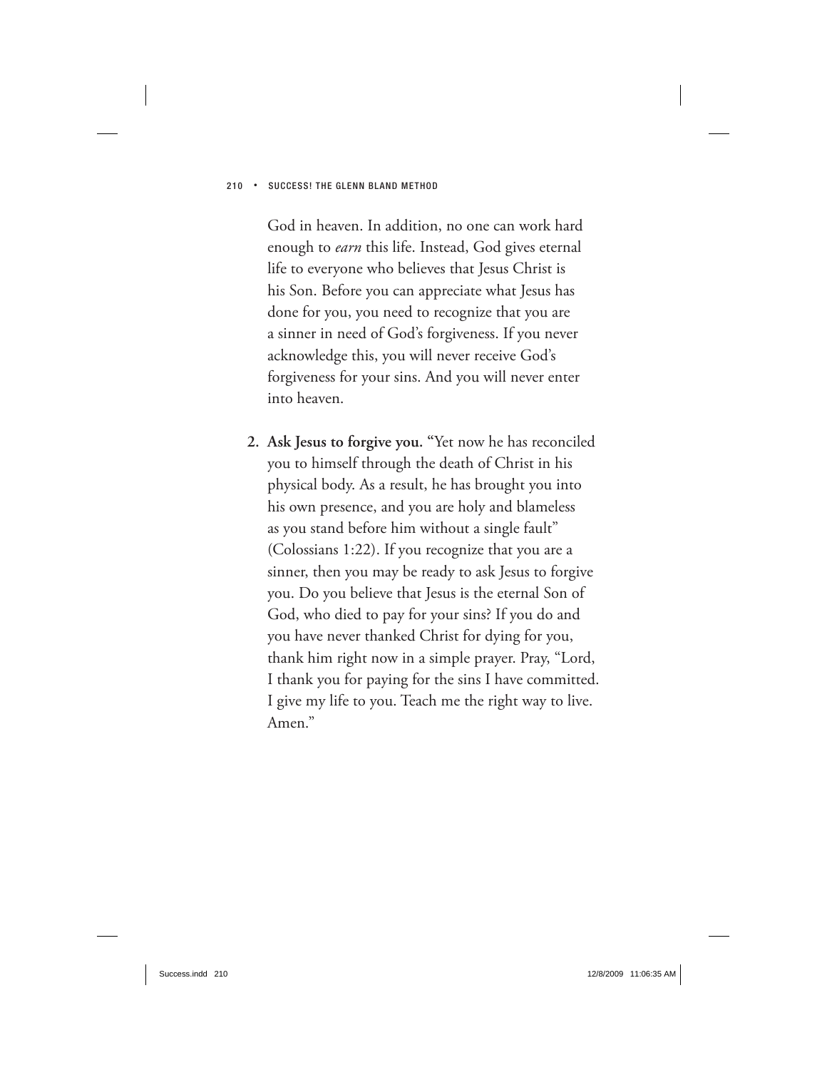God in heaven. In addition, no one can work hard enough to *earn* this life. Instead, God gives eternal life to everyone who believes that Jesus Christ is his Son. Before you can appreciate what Jesus has done for you, you need to recognize that you are a sinner in need of God's forgiveness. If you never acknowledge this, you will never receive God's forgiveness for your sins. And you will never enter into heaven.

**2. Ask Jesus to forgive you. "**Yet now he has reconciled you to himself through the death of Christ in his physical body. As a result, he has brought you into his own presence, and you are holy and blameless as you stand before him without a single fault" (Colossians 1:22). If you recognize that you are a sinner, then you may be ready to ask Jesus to forgive you. Do you believe that Jesus is the eternal Son of God, who died to pay for your sins? If you do and you have never thanked Christ for dying for you, thank him right now in a simple prayer. Pray, "Lord, I thank you for paying for the sins I have committed. I give my life to you. Teach me the right way to live. Amen."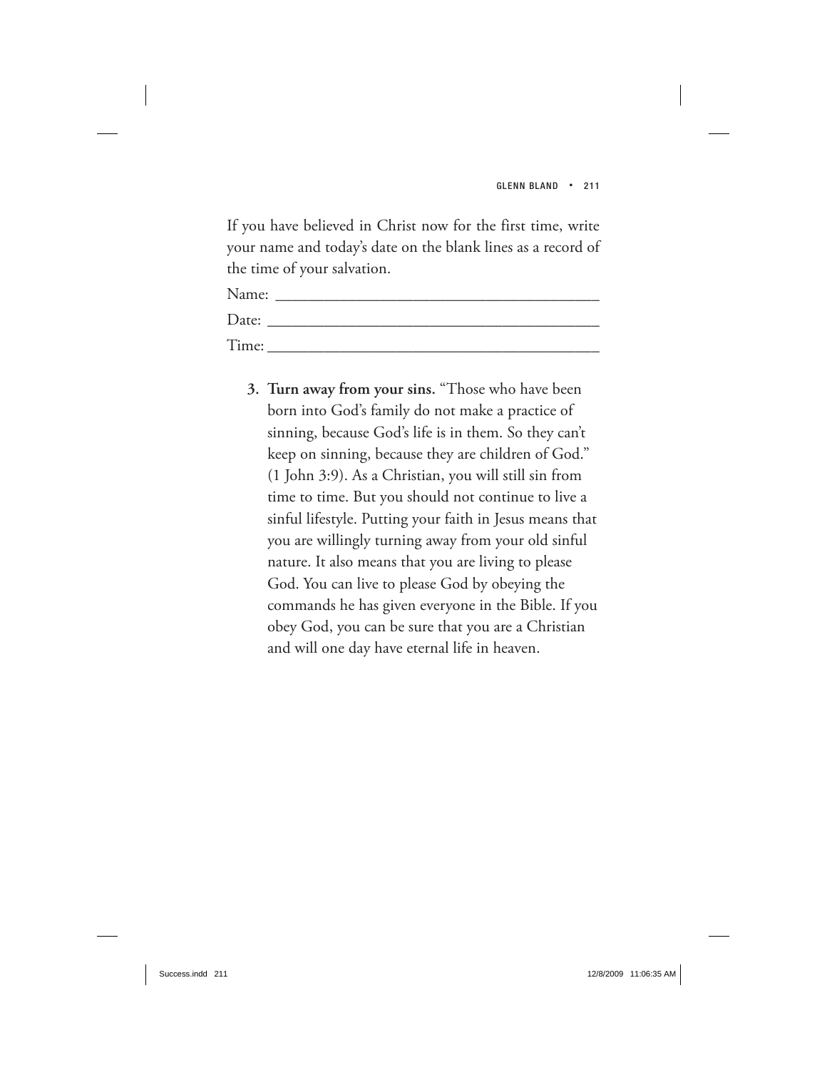If you have believed in Christ now for the first time, write your name and today's date on the blank lines as a record of the time of your salvation.

| Name: |  |
|-------|--|
| Date: |  |
| Time: |  |

**3. Turn away from your sins.** "Those who have been born into God's family do not make a practice of sinning, because God's life is in them. So they can't keep on sinning, because they are children of God." (1 John 3:9). As a Christian, you will still sin from time to time. But you should not continue to live a sinful lifestyle. Putting your faith in Jesus means that you are willingly turning away from your old sinful nature. It also means that you are living to please God. You can live to please God by obeying the commands he has given everyone in the Bible. If you obey God, you can be sure that you are a Christian and will one day have eternal life in heaven.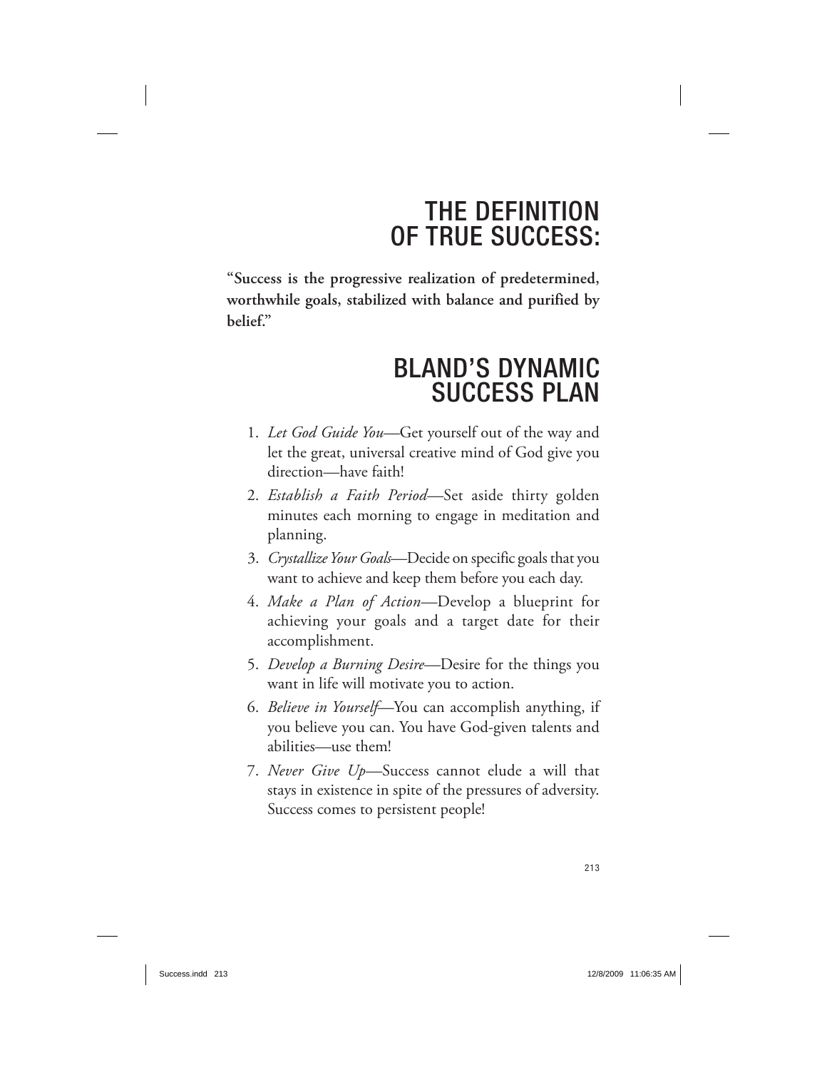# THE DEFINITION OF TRUE SUCCESS:

**"Success is the progressive realization of predetermined, worthwhile goals, stabilized with balance and purified by belief."**

## BLAND'S DYNAMIC SUCCESS PLAN

- 1. Let God Guide You-Get yourself out of the way and let the great, universal creative mind of God give you direction—have faith!
- 2. Establish a Faith Period—Set aside thirty golden minutes each morning to engage in meditation and planning.
- 3. Crystallize Your Goals—Decide on specific goals that you want to achieve and keep them before you each day.
- 4. Make a Plan of Action—Develop a blueprint for achieving your goals and a target date for their accomplishment.
- 5. Develop a Burning Desire—Desire for the things you want in life will motivate you to action.
- 6. Believe in Yourself—You can accomplish anything, if you believe you can. You have God-given talents and abilities—use them!
- 7. Never Give Up—Success cannot elude a will that stays in existence in spite of the pressures of adversity. Success comes to persistent people!